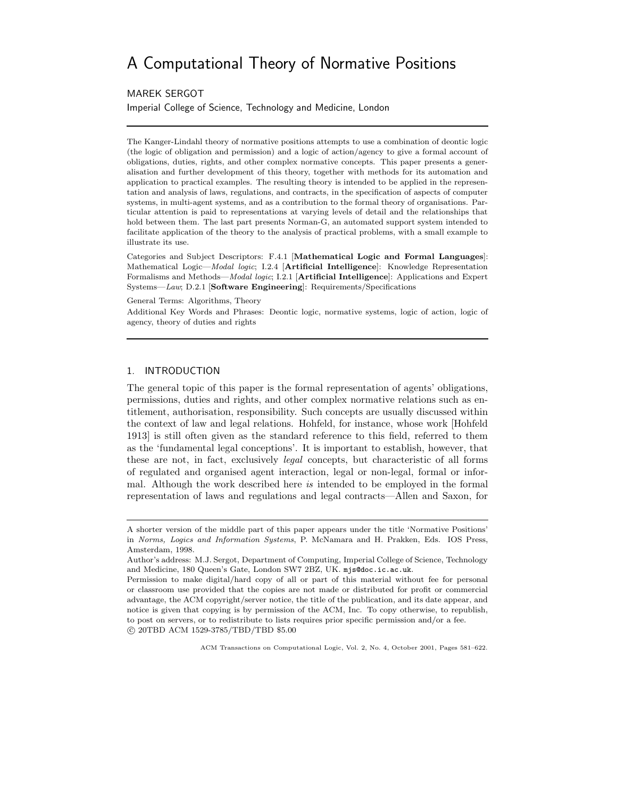# A Computational Theory of Normative Positions

MAREK SERGOT

Imperial College of Science, Technology and Medicine, London

The Kanger-Lindahl theory of normative positions attempts to use a combination of deontic logic (the logic of obligation and permission) and a logic of action/agency to give a formal account of obligations, duties, rights, and other complex normative concepts. This paper presents a generalisation and further development of this theory, together with methods for its automation and application to practical examples. The resulting theory is intended to be applied in the representation and analysis of laws, regulations, and contracts, in the specification of aspects of computer systems, in multi-agent systems, and as a contribution to the formal theory of organisations. Particular attention is paid to representations at varying levels of detail and the relationships that hold between them. The last part presents Norman-G, an automated support system intended to facilitate application of the theory to the analysis of practical problems, with a small example to illustrate its use.

Categories and Subject Descriptors: F.4.1 [Mathematical Logic and Formal Languages]: Mathematical Logic—Modal logic; I.2.4 [Artificial Intelligence]: Knowledge Representation Formalisms and Methods—*Modal logic*; I.2.1 [**Artificial Intelligence**]: Applications and Expert Systems—Law; D.2.1 [Software Engineering]: Requirements/Specifications

General Terms: Algorithms, Theory

Additional Key Words and Phrases: Deontic logic, normative systems, logic of action, logic of agency, theory of duties and rights

# 1. INTRODUCTION

The general topic of this paper is the formal representation of agents' obligations, permissions, duties and rights, and other complex normative relations such as entitlement, authorisation, responsibility. Such concepts are usually discussed within the context of law and legal relations. Hohfeld, for instance, whose work [Hohfeld 1913] is still often given as the standard reference to this field, referred to them as the 'fundamental legal conceptions'. It is important to establish, however, that these are not, in fact, exclusively legal concepts, but characteristic of all forms of regulated and organised agent interaction, legal or non-legal, formal or informal. Although the work described here is intended to be employed in the formal representation of laws and regulations and legal contracts—Allen and Saxon, for

A shorter version of the middle part of this paper appears under the title 'Normative Positions' in Norms, Logics and Information Systems, P. McNamara and H. Prakken, Eds. IOS Press, Amsterdam, 1998.

Author's address: M.J. Sergot, Department of Computing, Imperial College of Science, Technology and Medicine, 180 Queen's Gate, London SW7 2BZ, UK. mjs@doc.ic.ac.uk.

Permission to make digital/hard copy of all or part of this material without fee for personal or classroom use provided that the copies are not made or distributed for profit or commercial advantage, the ACM copyright/server notice, the title of the publication, and its date appear, and notice is given that copying is by permission of the ACM, Inc. To copy otherwise, to republish, to post on servers, or to redistribute to lists requires prior specific permission and/or a fee. c 20TBD ACM 1529-3785/TBD/TBD \$5.00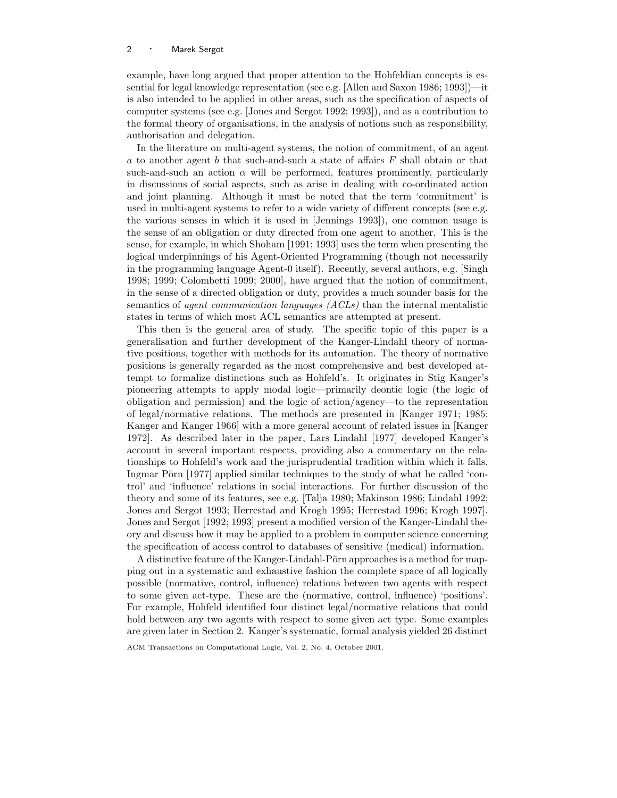example, have long argued that proper attention to the Hohfeldian concepts is essential for legal knowledge representation (see e.g. [Allen and Saxon 1986; 1993])—it is also intended to be applied in other areas, such as the specification of aspects of computer systems (see e.g. [Jones and Sergot 1992; 1993]), and as a contribution to the formal theory of organisations, in the analysis of notions such as responsibility, authorisation and delegation.

In the literature on multi-agent systems, the notion of commitment, of an agent a to another agent b that such-and-such a state of affairs  $F$  shall obtain or that such-and-such an action  $\alpha$  will be performed, features prominently, particularly in discussions of social aspects, such as arise in dealing with co-ordinated action and joint planning. Although it must be noted that the term 'commitment' is used in multi-agent systems to refer to a wide variety of different concepts (see e.g. the various senses in which it is used in [Jennings 1993]), one common usage is the sense of an obligation or duty directed from one agent to another. This is the sense, for example, in which Shoham [1991; 1993] uses the term when presenting the logical underpinnings of his Agent-Oriented Programming (though not necessarily in the programming language Agent-0 itself). Recently, several authors, e.g. [Singh 1998; 1999; Colombetti 1999; 2000], have argued that the notion of commitment, in the sense of a directed obligation or duty, provides a much sounder basis for the semantics of *agent communication languages (ACLs)* than the internal mentalistic states in terms of which most ACL semantics are attempted at present.

This then is the general area of study. The specific topic of this paper is a generalisation and further development of the Kanger-Lindahl theory of normative positions, together with methods for its automation. The theory of normative positions is generally regarded as the most comprehensive and best developed attempt to formalize distinctions such as Hohfeld's. It originates in Stig Kanger's pioneering attempts to apply modal logic—primarily deontic logic (the logic of obligation and permission) and the logic of action/agency—to the representation of legal/normative relations. The methods are presented in [Kanger 1971; 1985; Kanger and Kanger 1966] with a more general account of related issues in [Kanger 1972]. As described later in the paper, Lars Lindahl [1977] developed Kanger's account in several important respects, providing also a commentary on the relationships to Hohfeld's work and the jurisprudential tradition within which it falls. Ingmar Pörn [1977] applied similar techniques to the study of what he called 'control' and 'influence' relations in social interactions. For further discussion of the theory and some of its features, see e.g. [Talja 1980; Makinson 1986; Lindahl 1992; Jones and Sergot 1993; Herrestad and Krogh 1995; Herrestad 1996; Krogh 1997]. Jones and Sergot [1992; 1993] present a modified version of the Kanger-Lindahl theory and discuss how it may be applied to a problem in computer science concerning the specification of access control to databases of sensitive (medical) information.

A distinctive feature of the Kanger-Lindahl-Pörn approaches is a method for mapping out in a systematic and exhaustive fashion the complete space of all logically possible (normative, control, influence) relations between two agents with respect to some given act-type. These are the (normative, control, influence) 'positions'. For example, Hohfeld identified four distinct legal/normative relations that could hold between any two agents with respect to some given act type. Some examples are given later in Section 2. Kanger's systematic, formal analysis yielded 26 distinct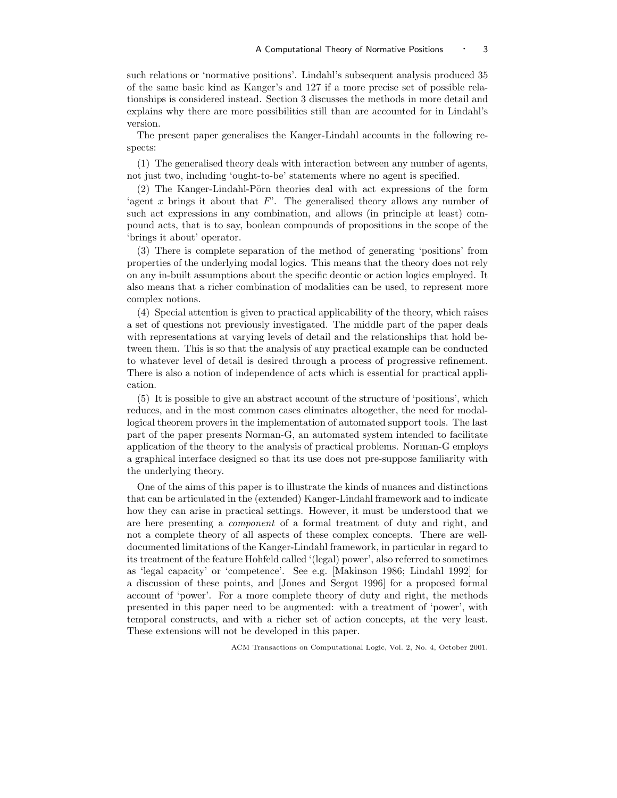such relations or 'normative positions'. Lindahl's subsequent analysis produced 35 of the same basic kind as Kanger's and 127 if a more precise set of possible relationships is considered instead. Section 3 discusses the methods in more detail and explains why there are more possibilities still than are accounted for in Lindahl's version.

The present paper generalises the Kanger-Lindahl accounts in the following respects:

(1) The generalised theory deals with interaction between any number of agents, not just two, including 'ought-to-be' statements where no agent is specified.

 $(2)$  The Kanger-Lindahl-Pörn theories deal with act expressions of the form 'agent x brings it about that  $F'$ . The generalised theory allows any number of such act expressions in any combination, and allows (in principle at least) compound acts, that is to say, boolean compounds of propositions in the scope of the 'brings it about' operator.

(3) There is complete separation of the method of generating 'positions' from properties of the underlying modal logics. This means that the theory does not rely on any in-built assumptions about the specific deontic or action logics employed. It also means that a richer combination of modalities can be used, to represent more complex notions.

(4) Special attention is given to practical applicability of the theory, which raises a set of questions not previously investigated. The middle part of the paper deals with representations at varying levels of detail and the relationships that hold between them. This is so that the analysis of any practical example can be conducted to whatever level of detail is desired through a process of progressive refinement. There is also a notion of independence of acts which is essential for practical application.

(5) It is possible to give an abstract account of the structure of 'positions', which reduces, and in the most common cases eliminates altogether, the need for modallogical theorem provers in the implementation of automated support tools. The last part of the paper presents Norman-G, an automated system intended to facilitate application of the theory to the analysis of practical problems. Norman-G employs a graphical interface designed so that its use does not pre-suppose familiarity with the underlying theory.

One of the aims of this paper is to illustrate the kinds of nuances and distinctions that can be articulated in the (extended) Kanger-Lindahl framework and to indicate how they can arise in practical settings. However, it must be understood that we are here presenting a component of a formal treatment of duty and right, and not a complete theory of all aspects of these complex concepts. There are welldocumented limitations of the Kanger-Lindahl framework, in particular in regard to its treatment of the feature Hohfeld called '(legal) power', also referred to sometimes as 'legal capacity' or 'competence'. See e.g. [Makinson 1986; Lindahl 1992] for a discussion of these points, and [Jones and Sergot 1996] for a proposed formal account of 'power'. For a more complete theory of duty and right, the methods presented in this paper need to be augmented: with a treatment of 'power', with temporal constructs, and with a richer set of action concepts, at the very least. These extensions will not be developed in this paper.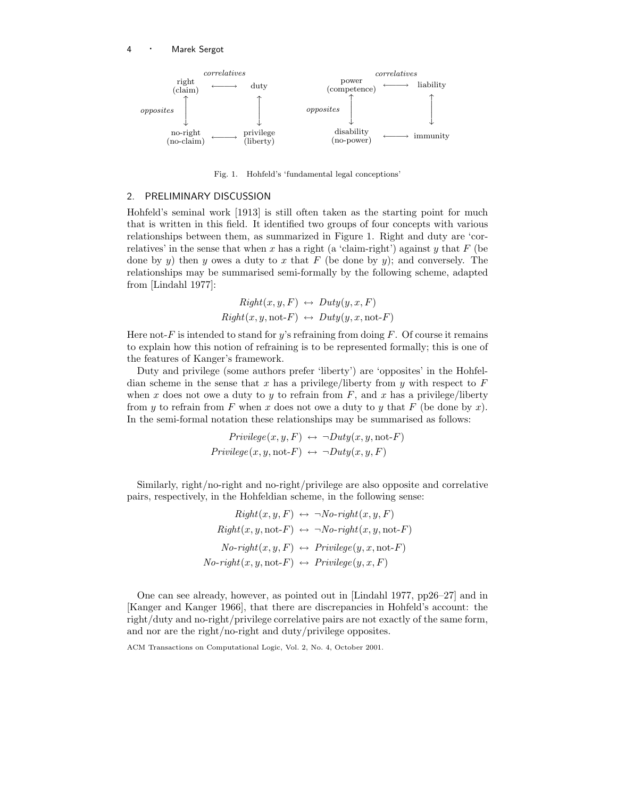

Fig. 1. Hohfeld's 'fundamental legal conceptions'

## 2. PRELIMINARY DISCUSSION

Hohfeld's seminal work [1913] is still often taken as the starting point for much that is written in this field. It identified two groups of four concepts with various relationships between them, as summarized in Figure 1. Right and duty are 'correlatives' in the sense that when x has a right (a 'claim-right') against y that  $F$  (be done by y) then y owes a duty to x that F (be done by y); and conversely. The relationships may be summarised semi-formally by the following scheme, adapted from [Lindahl 1977]:

$$
Right(x, y, F) \leftrightarrow Duty(y, x, F)
$$
  
Right(x, y, not-F)  $\leftrightarrow Duty(y, x, not-F)$ 

Here not-F is intended to stand for y's refraining from doing  $F$ . Of course it remains to explain how this notion of refraining is to be represented formally; this is one of the features of Kanger's framework.

Duty and privilege (some authors prefer 'liberty') are 'opposites' in the Hohfeldian scheme in the sense that x has a privilege/liberty from y with respect to  $F$ when x does not owe a duty to y to refrain from  $F$ , and x has a privilege/liberty from y to refrain from F when x does not owe a duty to y that F (be done by x). In the semi-formal notation these relationships may be summarised as follows:

$$
Privatege(x, y, F) \leftrightarrow \neg Duty(x, y, \text{not-}F)
$$

$$
Privatege(x, y, \text{not-}F) \leftrightarrow \neg Duty(x, y, F)
$$

Similarly, right/no-right and no-right/privilege are also opposite and correlative pairs, respectively, in the Hohfeldian scheme, in the following sense:

$$
Right(x, y, F) \leftrightarrow \neg No-right(x, y, F)
$$
  
\n
$$
Right(x, y, \text{not-}F) \leftrightarrow \neg No-right(x, y, \text{not-}F)
$$
  
\n
$$
No-right(x, y, F) \leftrightarrow Privilege(y, x, \text{not-}F)
$$
  
\n
$$
No-right(x, y, \text{not-}F) \leftrightarrow Privilege(y, x, F)
$$

One can see already, however, as pointed out in [Lindahl 1977, pp26–27] and in [Kanger and Kanger 1966], that there are discrepancies in Hohfeld's account: the right/duty and no-right/privilege correlative pairs are not exactly of the same form, and nor are the right/no-right and duty/privilege opposites.

ACM Transactions on Computational Logic, Vol. 2, No. 4, October 2001.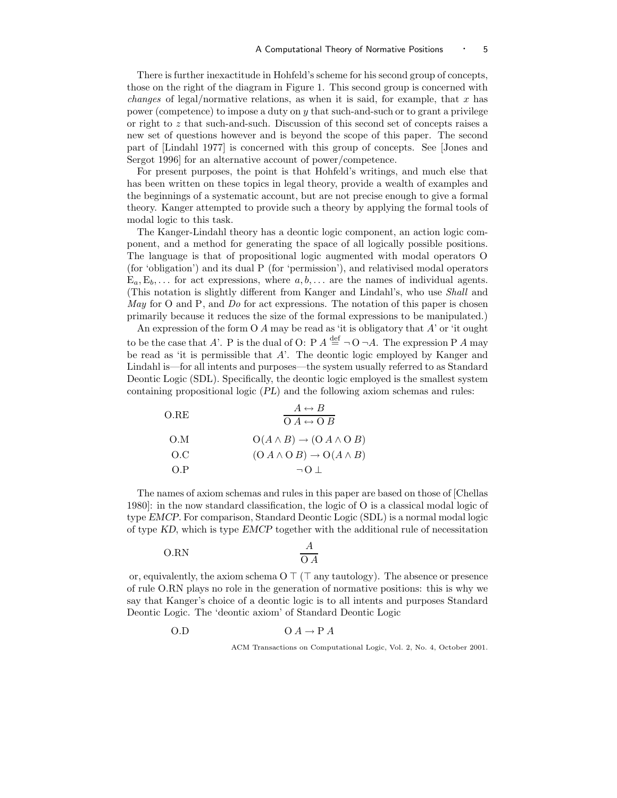There is further inexactitude in Hohfeld's scheme for his second group of concepts, those on the right of the diagram in Figure 1. This second group is concerned with *changes* of legal/normative relations, as when it is said, for example, that  $x$  has power (competence) to impose a duty on y that such-and-such or to grant a privilege or right to z that such-and-such. Discussion of this second set of concepts raises a new set of questions however and is beyond the scope of this paper. The second part of [Lindahl 1977] is concerned with this group of concepts. See [Jones and Sergot 1996] for an alternative account of power/competence.

For present purposes, the point is that Hohfeld's writings, and much else that has been written on these topics in legal theory, provide a wealth of examples and the beginnings of a systematic account, but are not precise enough to give a formal theory. Kanger attempted to provide such a theory by applying the formal tools of modal logic to this task.

The Kanger-Lindahl theory has a deontic logic component, an action logic component, and a method for generating the space of all logically possible positions. The language is that of propositional logic augmented with modal operators O (for 'obligation') and its dual P (for 'permission'), and relativised modal operators  $E_a, E_b, \ldots$  for act expressions, where  $a, b, \ldots$  are the names of individual agents. (This notation is slightly different from Kanger and Lindahl's, who use Shall and May for O and  $P$ , and  $Do$  for act expressions. The notation of this paper is chosen primarily because it reduces the size of the formal expressions to be manipulated.)

An expression of the form  $O$  A may be read as 'it is obligatory that  $A'$  or 'it ought to be the case that A'. P is the dual of O: P  $A \stackrel{\text{def}}{=} \neg O \neg A$ . The expression P A may be read as 'it is permissible that A'. The deontic logic employed by Kanger and Lindahl is—for all intents and purposes—the system usually referred to as Standard Deontic Logic (SDL). Specifically, the deontic logic employed is the smallest system containing propositional logic (PL) and the following axiom schemas and rules:

| O.RE | $A \leftrightarrow B$<br>$O A \leftrightarrow O B$ |
|------|----------------------------------------------------|
| O.M  | $O(A \wedge B) \rightarrow (O A \wedge O B)$       |
| O.C  | $(O A \wedge O B) \rightarrow O(A \wedge B)$       |
| O.P  | $\neg$ () $\bot$                                   |

The names of axiom schemas and rules in this paper are based on those of [Chellas 1980]: in the now standard classification, the logic of O is a classical modal logic of type EMCP. For comparison, Standard Deontic Logic (SDL) is a normal modal logic of type KD, which is type EMCP together with the additional rule of necessitation

$$
O.RN \qquad \qquad \frac{A}{O A}
$$

or, equivalently, the axiom schema  $O \top (\top \text{ any tautology})$ . The absence or presence of rule O.RN plays no role in the generation of normative positions: this is why we say that Kanger's choice of a deontic logic is to all intents and purposes Standard Deontic Logic. The 'deontic axiom' of Standard Deontic Logic

O.D O A → P A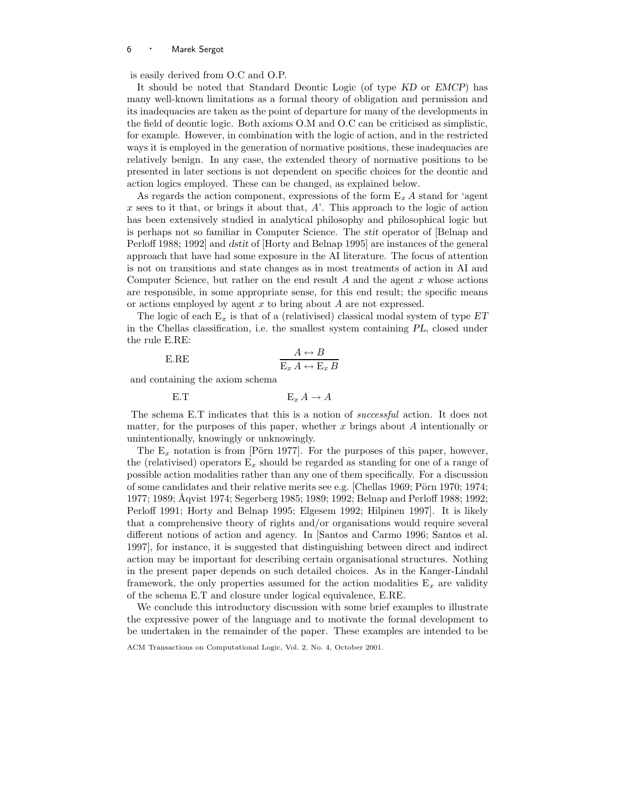is easily derived from O.C and O.P.

It should be noted that Standard Deontic Logic (of type KD or EMCP) has many well-known limitations as a formal theory of obligation and permission and its inadequacies are taken as the point of departure for many of the developments in the field of deontic logic. Both axioms O.M and O.C can be criticised as simplistic, for example. However, in combination with the logic of action, and in the restricted ways it is employed in the generation of normative positions, these inadequacies are relatively benign. In any case, the extended theory of normative positions to be presented in later sections is not dependent on specific choices for the deontic and action logics employed. These can be changed, as explained below.

As regards the action component, expressions of the form  $E_x A$  stand for 'agent  $x$  sees to it that, or brings it about that,  $A'$ . This approach to the logic of action has been extensively studied in analytical philosophy and philosophical logic but is perhaps not so familiar in Computer Science. The stit operator of [Belnap and Perloff 1988; 1992] and dstit of [Horty and Belnap 1995] are instances of the general approach that have had some exposure in the AI literature. The focus of attention is not on transitions and state changes as in most treatments of action in AI and Computer Science, but rather on the end result  $A$  and the agent  $x$  whose actions are responsible, in some appropriate sense, for this end result; the specific means or actions employed by agent  $x$  to bring about  $A$  are not expressed.

The logic of each  $E_x$  is that of a (relativised) classical modal system of type  $ET$ in the Chellas classification, i.e. the smallest system containing PL, closed under the rule E.RE:

$$
\begin{array}{ccc}\n\text{E.RE} & & A \leftrightarrow B \\
\hline\n\text{E}_x A \leftrightarrow \text{E}_x B\n\end{array}
$$

and containing the axiom schema

E.T E<sup>x</sup> A → A

The schema E.T indicates that this is a notion of *successful* action. It does not matter, for the purposes of this paper, whether  $x$  brings about  $A$  intentionally or unintentionally, knowingly or unknowingly.

The  $E_x$  notation is from [Pörn 1977]. For the purposes of this paper, however, the (relativised) operators  $E_x$  should be regarded as standing for one of a range of possible action modalities rather than any one of them specifically. For a discussion of some candidates and their relative merits see e.g. [Chellas 1969; Pörn 1970; 1974; 1977; 1989; Åqvist 1974; Segerberg 1985; 1989; 1992; Belnap and Perloff 1988; 1992; Perloff 1991; Horty and Belnap 1995; Elgesem 1992; Hilpinen 1997]. It is likely that a comprehensive theory of rights and/or organisations would require several different notions of action and agency. In [Santos and Carmo 1996; Santos et al. 1997], for instance, it is suggested that distinguishing between direct and indirect action may be important for describing certain organisational structures. Nothing in the present paper depends on such detailed choices. As in the Kanger-Lindahl framework, the only properties assumed for the action modalities  $E_x$  are validity of the schema E.T and closure under logical equivalence, E.RE.

We conclude this introductory discussion with some brief examples to illustrate the expressive power of the language and to motivate the formal development to be undertaken in the remainder of the paper. These examples are intended to be

ACM Transactions on Computational Logic, Vol. 2, No. 4, October 2001.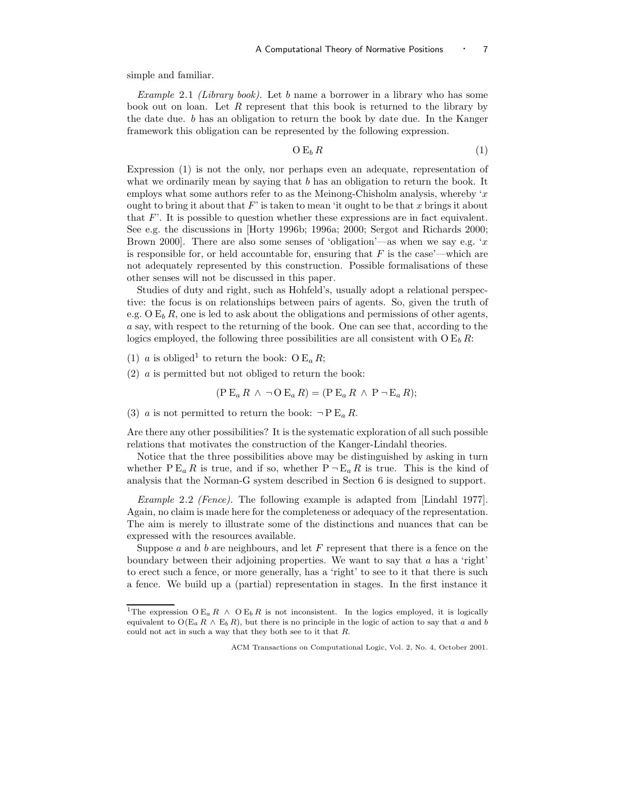simple and familiar.

Example 2.1 (Library book). Let b name a borrower in a library who has some book out on loan. Let R represent that this book is returned to the library by the date due. b has an obligation to return the book by date due. In the Kanger framework this obligation can be represented by the following expression.

$$
O E_b R \tag{1}
$$

Expression (1) is not the only, nor perhaps even an adequate, representation of what we ordinarily mean by saying that  $b$  has an obligation to return the book. It employs what some authors refer to as the Meinong-Chisholm analysis, whereby 'x ought to bring it about that  $F'$  is taken to mean 'it ought to be that x brings it about that  $F'$ . It is possible to question whether these expressions are in fact equivalent. See e.g. the discussions in [Horty 1996b; 1996a; 2000; Sergot and Richards 2000; Brown 2000. There are also some senses of 'obligation'—as when we say e.g. 'x is responsible for, or held accountable for, ensuring that  $F$  is the case'—which are not adequately represented by this construction. Possible formalisations of these other senses will not be discussed in this paper.

Studies of duty and right, such as Hohfeld's, usually adopt a relational perspective: the focus is on relationships between pairs of agents. So, given the truth of e.g.  $O E_b R$ , one is led to ask about the obligations and permissions of other agents, a say, with respect to the returning of the book. One can see that, according to the logics employed, the following three possibilities are all consistent with  $O E_b R$ :

(1) *a* is obliged<sup>1</sup> to return the book: O  $E_a R$ ;

(2) a is permitted but not obliged to return the book:

$$
(\text{P } E_a R \wedge \neg \text{O } E_a R) = (\text{P } E_a R \wedge \text{P } \neg E_a R);
$$

(3) *a* is not permitted to return the book:  $\neg P \, \mathbb{E}_a R$ .

Are there any other possibilities? It is the systematic exploration of all such possible relations that motivates the construction of the Kanger-Lindahl theories.

Notice that the three possibilities above may be distinguished by asking in turn whether  $P E_a R$  is true, and if so, whether  $P \neg E_a R$  is true. This is the kind of analysis that the Norman-G system described in Section 6 is designed to support.

Example 2.2 (Fence). The following example is adapted from [Lindahl 1977]. Again, no claim is made here for the completeness or adequacy of the representation. The aim is merely to illustrate some of the distinctions and nuances that can be expressed with the resources available.

Suppose  $a$  and  $b$  are neighbours, and let  $F$  represent that there is a fence on the boundary between their adjoining properties. We want to say that  $a$  has a 'right' to erect such a fence, or more generally, has a 'right' to see to it that there is such a fence. We build up a (partial) representation in stages. In the first instance it

<sup>&</sup>lt;sup>1</sup>The expression O E<sub>a</sub> R ∧ O E<sub>b</sub> R is not inconsistent. In the logics employed, it is logically equivalent to  $O(E_a R \wedge E_b R)$ , but there is no principle in the logic of action to say that a and b could not act in such a way that they both see to it that  $R$ .

ACM Transactions on Computational Logic, Vol. 2, No. 4, October 2001.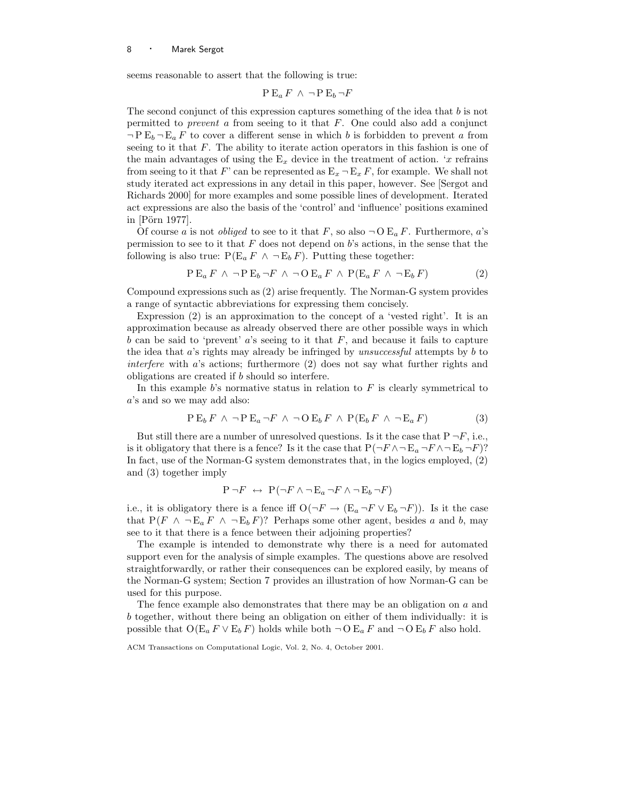seems reasonable to assert that the following is true:

$$
P E_a F \wedge \neg P E_b \neg F
$$

The second conjunct of this expression captures something of the idea that b is not permitted to *prevent a* from seeing to it that  $F$ . One could also add a conjunct  $\neg P E_b \neg E_a F$  to cover a different sense in which b is forbidden to prevent a from seeing to it that  $F$ . The ability to iterate action operators in this fashion is one of the main advantages of using the  $E_x$  device in the treatment of action. 'x refrains from seeing to it that F' can be represented as  $E_x - E_x F$ , for example. We shall not study iterated act expressions in any detail in this paper, however. See [Sergot and Richards 2000] for more examples and some possible lines of development. Iterated act expressions are also the basis of the 'control' and 'influence' positions examined in  $[P\ddot{o}rn 1977]$ .

Of course a is not *obliged* to see to it that F, so also  $\neg$  O E<sub>a</sub> F. Furthermore, a's permission to see to it that  $F$  does not depend on  $b$ 's actions, in the sense that the following is also true:  $P(E_a F \wedge \neg E_b F)$ . Putting these together:

$$
P E_a F \wedge \neg P E_b \neg F \wedge \neg O E_a F \wedge P(E_a F \wedge \neg E_b F) \tag{2}
$$

Compound expressions such as (2) arise frequently. The Norman-G system provides a range of syntactic abbreviations for expressing them concisely.

Expression (2) is an approximation to the concept of a 'vested right'. It is an approximation because as already observed there are other possible ways in which b can be said to 'prevent' a's seeing to it that  $F$ , and because it fails to capture the idea that  $a$ 's rights may already be infringed by *unsuccessful* attempts by  $b$  to interfere with a's actions; furthermore (2) does not say what further rights and obligations are created if b should so interfere.

In this example  $b$ 's normative status in relation to  $F$  is clearly symmetrical to a's and so we may add also:

$$
P E_b F \wedge \neg P E_a \neg F \wedge \neg O E_b F \wedge P(E_b F \wedge \neg E_a F) \tag{3}
$$

But still there are a number of unresolved questions. Is it the case that  $P \neg F$ , i.e., is it obligatory that there is a fence? Is it the case that  $P(\neg F \land \neg E_a \neg F \land \neg E_b \neg F)$ ? In fact, use of the Norman-G system demonstrates that, in the logics employed, (2) and (3) together imply

$$
P \neg F \leftrightarrow P(\neg F \land \neg E_a \neg F \land \neg E_b \neg F)
$$

i.e., it is obligatory there is a fence iff  $O(\neg F \rightarrow (E_a \neg F \vee E_b \neg F))$ . Is it the case that  $P(F \wedge \neg E_a F \wedge \neg E_b F)$ ? Perhaps some other agent, besides a and b, may see to it that there is a fence between their adjoining properties?

The example is intended to demonstrate why there is a need for automated support even for the analysis of simple examples. The questions above are resolved straightforwardly, or rather their consequences can be explored easily, by means of the Norman-G system; Section 7 provides an illustration of how Norman-G can be used for this purpose.

The fence example also demonstrates that there may be an obligation on a and b together, without there being an obligation on either of them individually: it is possible that  $O(E_a F \vee E_b F)$  holds while both  $\neg O E_a F$  and  $\neg O E_b F$  also hold.

ACM Transactions on Computational Logic, Vol. 2, No. 4, October 2001.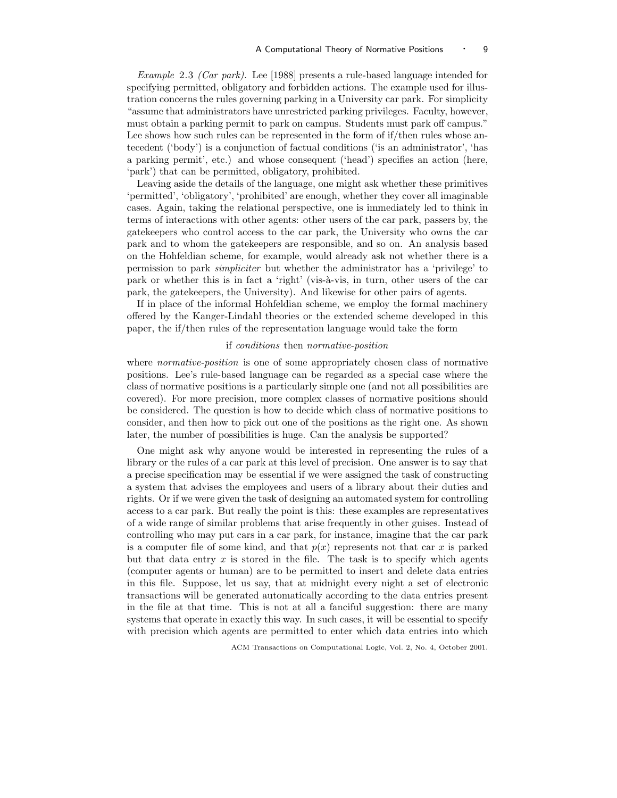Example 2.3 (Car park). Lee [1988] presents a rule-based language intended for specifying permitted, obligatory and forbidden actions. The example used for illustration concerns the rules governing parking in a University car park. For simplicity "assume that administrators have unrestricted parking privileges. Faculty, however, must obtain a parking permit to park on campus. Students must park off campus." Lee shows how such rules can be represented in the form of if/then rules whose antecedent ('body') is a conjunction of factual conditions ('is an administrator', 'has a parking permit', etc.) and whose consequent ('head') specifies an action (here, 'park') that can be permitted, obligatory, prohibited.

Leaving aside the details of the language, one might ask whether these primitives 'permitted', 'obligatory', 'prohibited' are enough, whether they cover all imaginable cases. Again, taking the relational perspective, one is immediately led to think in terms of interactions with other agents: other users of the car park, passers by, the gatekeepers who control access to the car park, the University who owns the car park and to whom the gatekeepers are responsible, and so on. An analysis based on the Hohfeldian scheme, for example, would already ask not whether there is a permission to park simpliciter but whether the administrator has a 'privilege' to park or whether this is in fact a 'right' (vis-à-vis, in turn, other users of the car park, the gatekeepers, the University). And likewise for other pairs of agents.

If in place of the informal Hohfeldian scheme, we employ the formal machinery offered by the Kanger-Lindahl theories or the extended scheme developed in this paper, the if/then rules of the representation language would take the form

#### if conditions then normative-position

where *normative-position* is one of some appropriately chosen class of normative positions. Lee's rule-based language can be regarded as a special case where the class of normative positions is a particularly simple one (and not all possibilities are covered). For more precision, more complex classes of normative positions should be considered. The question is how to decide which class of normative positions to consider, and then how to pick out one of the positions as the right one. As shown later, the number of possibilities is huge. Can the analysis be supported?

One might ask why anyone would be interested in representing the rules of a library or the rules of a car park at this level of precision. One answer is to say that a precise specification may be essential if we were assigned the task of constructing a system that advises the employees and users of a library about their duties and rights. Or if we were given the task of designing an automated system for controlling access to a car park. But really the point is this: these examples are representatives of a wide range of similar problems that arise frequently in other guises. Instead of controlling who may put cars in a car park, for instance, imagine that the car park is a computer file of some kind, and that  $p(x)$  represents not that car x is parked but that data entry  $x$  is stored in the file. The task is to specify which agents (computer agents or human) are to be permitted to insert and delete data entries in this file. Suppose, let us say, that at midnight every night a set of electronic transactions will be generated automatically according to the data entries present in the file at that time. This is not at all a fanciful suggestion: there are many systems that operate in exactly this way. In such cases, it will be essential to specify with precision which agents are permitted to enter which data entries into which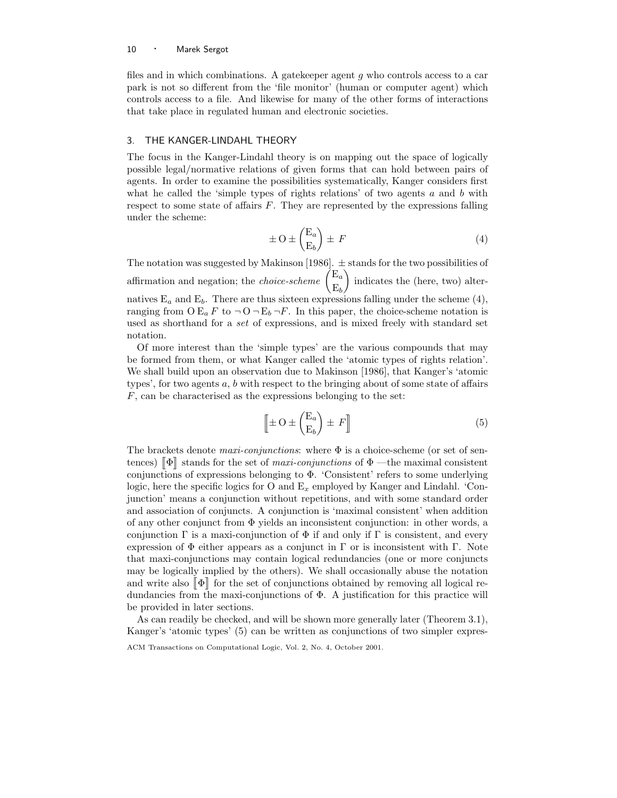files and in which combinations. A gatekeeper agent  $g$  who controls access to a car park is not so different from the 'file monitor' (human or computer agent) which controls access to a file. And likewise for many of the other forms of interactions that take place in regulated human and electronic societies.

## 3. THE KANGER-LINDAHL THEORY

The focus in the Kanger-Lindahl theory is on mapping out the space of logically possible legal/normative relations of given forms that can hold between pairs of agents. In order to examine the possibilities systematically, Kanger considers first what he called the 'simple types of rights relations' of two agents  $a$  and  $b$  with respect to some state of affairs  $F$ . They are represented by the expressions falling under the scheme:

$$
\pm O \pm \begin{pmatrix} E_a \\ E_b \end{pmatrix} \pm F \tag{4}
$$

The notation was suggested by Makinson [1986].  $\pm$  stands for the two possibilities of affirmation and negation; the *choice-scheme*  $\begin{pmatrix} E_a \\ E_b \end{pmatrix}$  $\mathrm{E}_b$ ) indicates the (here, two) alternatives  $E_a$  and  $E_b$ . There are thus sixteen expressions falling under the scheme (4), ranging from  $O E_a F$  to  $\neg O \neg E_b \neg F$ . In this paper, the choice-scheme notation is used as shorthand for a set of expressions, and is mixed freely with standard set notation.

Of more interest than the 'simple types' are the various compounds that may be formed from them, or what Kanger called the 'atomic types of rights relation'. We shall build upon an observation due to Makinson [1986], that Kanger's 'atomic types', for two agents  $a, b$  with respect to the bringing about of some state of affairs F, can be characterised as the expressions belonging to the set:

$$
\left[\pm O \pm \begin{pmatrix} E_a \\ E_b \end{pmatrix} \pm F\right] \tag{5}
$$

The brackets denote maxi-conjunctions: where  $\Phi$  is a choice-scheme (or set of sentences)  $\llbracket \Phi \rrbracket$  stands for the set of *maxi-conjunctions* of  $\Phi$  —the maximal consistent conjunctions of expressions belonging to Φ. 'Consistent' refers to some underlying logic, here the specific logics for O and  $E_x$  employed by Kanger and Lindahl. 'Conjunction' means a conjunction without repetitions, and with some standard order and association of conjuncts. A conjunction is 'maximal consistent' when addition of any other conjunct from Φ yields an inconsistent conjunction: in other words, a conjunction  $\Gamma$  is a maxi-conjunction of  $\Phi$  if and only if  $\Gamma$  is consistent, and every expression of  $\Phi$  either appears as a conjunct in  $\Gamma$  or is inconsistent with  $\Gamma$ . Note that maxi-conjunctions may contain logical redundancies (one or more conjuncts may be logically implied by the others). We shall occasionally abuse the notation and write also  $[\![\Phi]\!]$  for the set of conjunctions obtained by removing all logical redundancies from the maxi-conjunctions of  $\Phi$ . A justification for this practice will be provided in later sections.

As can readily be checked, and will be shown more generally later (Theorem 3.1), Kanger's 'atomic types' (5) can be written as conjunctions of two simpler expres-

ACM Transactions on Computational Logic, Vol. 2, No. 4, October 2001.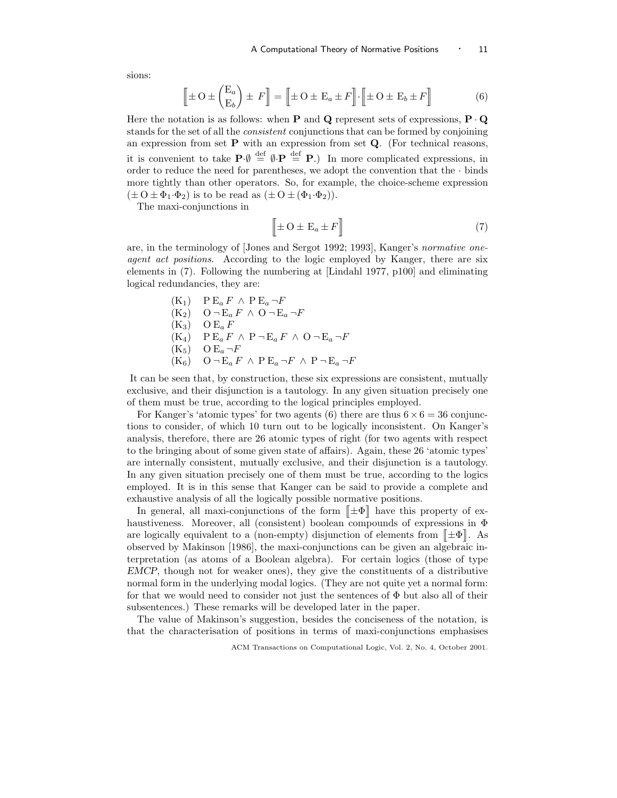sions:

$$
\left[\pm O \pm \begin{pmatrix} E_a \\ E_b \end{pmatrix} \pm F\right] = \left[\pm O \pm E_a \pm F\right] \cdot \left[\pm O \pm E_b \pm F\right]
$$
 (6)

Here the notation is as follows: when **P** and **Q** represent sets of expressions,  $P \cdot Q$ stands for the set of all the consistent conjunctions that can be formed by conjoining an expression from set  $P$  with an expression from set  $Q$ . (For technical reasons, it is convenient to take  $\mathbf{P} \cdot \emptyset \stackrel{\text{def}}{=} \emptyset \cdot \mathbf{P} \stackrel{\text{def}}{=} \mathbf{P}$ .) In more complicated expressions, in order to reduce the need for parentheses, we adopt the convention that the  $\cdot$  binds more tightly than other operators. So, for example, the choice-scheme expression  $(\pm O \pm \Phi_1 \cdot \Phi_2)$  is to be read as  $(\pm O \pm (\Phi_1 \cdot \Phi_2)).$ 

The maxi-conjunctions in

$$
\left[\pm O \pm E_a \pm F\right]
$$
 (7)

are, in the terminology of [Jones and Sergot 1992; 1993], Kanger's normative oneagent act positions. According to the logic employed by Kanger, there are six elements in (7). Following the numbering at [Lindahl 1977, p100] and eliminating logical redundancies, they are:

\n- (K<sub>1</sub>) 
$$
PE_a F \wedge PE_a \neg F
$$
\n- (K<sub>2</sub>)  $O \neg E_a F \wedge O \neg E_a \neg F$
\n- (K<sub>3</sub>)  $OE_a F$
\n- (K<sub>4</sub>)  $PE_a F \wedge P \neg E_a F \wedge O \neg E_a \neg F$
\n- (K<sub>5</sub>)  $OE_a \neg F$
\n- (K<sub>6</sub>)  $O \neg E_a F \wedge PE_a \neg F \wedge P \neg E_a \neg F$
\n

It can be seen that, by construction, these six expressions are consistent, mutually exclusive, and their disjunction is a tautology. In any given situation precisely one of them must be true, according to the logical principles employed.

For Kanger's 'atomic types' for two agents (6) there are thus  $6 \times 6 = 36$  conjunctions to consider, of which 10 turn out to be logically inconsistent. On Kanger's analysis, therefore, there are 26 atomic types of right (for two agents with respect to the bringing about of some given state of affairs). Again, these 26 'atomic types' are internally consistent, mutually exclusive, and their disjunction is a tautology. In any given situation precisely one of them must be true, according to the logics employed. It is in this sense that Kanger can be said to provide a complete and exhaustive analysis of all the logically possible normative positions.

In general, all maxi-conjunctions of the form  $\|\pm\Phi\|$  have this property of exhaustiveness. Moreover, all (consistent) boolean compounds of expressions in  $\Phi$ are logically equivalent to a (non-empty) disjunction of elements from  $[\![\pm\Phi]\!]$ . As observed by Makinson [1986], the maxi-conjunctions can be given an algebraic interpretation (as atoms of a Boolean algebra). For certain logics (those of type EMCP, though not for weaker ones), they give the constituents of a distributive normal form in the underlying modal logics. (They are not quite yet a normal form: for that we would need to consider not just the sentences of  $\Phi$  but also all of their subsentences.) These remarks will be developed later in the paper.

The value of Makinson's suggestion, besides the conciseness of the notation, is that the characterisation of positions in terms of maxi-conjunctions emphasises

ACM Transactions on Computational Logic, Vol. 2, No. 4, October 2001.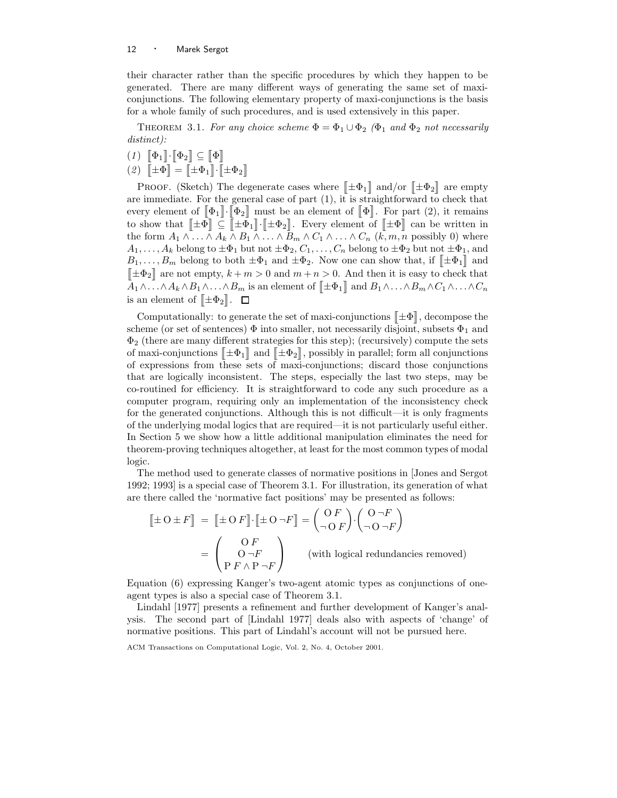their character rather than the specific procedures by which they happen to be generated. There are many different ways of generating the same set of maxiconjunctions. The following elementary property of maxi-conjunctions is the basis for a whole family of such procedures, and is used extensively in this paper.

THEOREM 3.1. For any choice scheme  $\Phi = \Phi_1 \cup \Phi_2$  ( $\Phi_1$  and  $\Phi_2$  not necessarily distinct):

- $(1) \left[\!\left[ \Phi_1 \right]\!\right] \cdot \left[\!\left[ \Phi_2 \right]\!\right] \subseteq \left[\!\left[ \Phi \right]\!\right]$
- (2)  $\[\mathbf{\pm}\Phi\] = \[\mathbf{\pm}\Phi_1\] \cdot \[\mathbf{\pm}\Phi_2\]$

PROOF. (Sketch) The degenerate cases where  $\|\pm \Phi_1\|$  and/or  $\|\pm \Phi_2\|$  are empty are immediate. For the general case of part (1), it is straightforward to check that every element of  $[\![\Phi_1]\!]\cdot[\![\Phi_2]\!]$  must be an element of  $[\![\Phi]\!]$ . For part (2), it remains to show that  $[\![\pm \Phi] \!] \subseteq [\![\pm \Phi_1]\!] \cdot [\![\pm \Phi_2]\!]$ . Every element of  $[\![\pm \Phi] \!]$  can be written in the form  $A_1 \wedge \ldots \wedge A_k \wedge B_1 \wedge \ldots \wedge B_m \wedge C_1 \wedge \ldots \wedge C_n$   $(k, m, n \text{ possibly } 0)$  where  $A_1, \ldots, A_k$  belong to  $\pm \Phi_1$  but not  $\pm \Phi_2, C_1, \ldots, C_n$  belong to  $\pm \Phi_2$  but not  $\pm \Phi_1$ , and  $B_1, \ldots, B_m$  belong to both  $\pm \Phi_1$  and  $\pm \Phi_2$ . Now one can show that, if  $\llbracket \pm \Phi_1 \rrbracket$  and  $[\pm \Phi_2]$  are not empty,  $k + m > 0$  and  $m + n > 0$ . And then it is easy to check that  $A_1 \wedge \ldots \wedge A_k \wedge B_1 \wedge \ldots \wedge B_m$  is an element of  $\llbracket \pm \Phi_1 \rrbracket$  and  $B_1 \wedge \ldots \wedge B_m \wedge C_1 \wedge \ldots \wedge C_n$ is an element of  $[\pm \Phi_2]$ .

Computationally: to generate the set of maxi-conjunctions  $[\![\pm\Phi]\!]$ , decompose the scheme (or set of sentences)  $\Phi$  into smaller, not necessarily disjoint, subsets  $\Phi_1$  and  $\Phi_2$  (there are many different strategies for this step); (recursively) compute the sets of maxi-conjunctions  $[\![\pm\Phi_1]\!]$  and  $[\![\pm\Phi_2]\!]$ , possibly in parallel; form all conjunctions of expressions from these sets of maxi-conjunctions; discard those conjunctions that are logically inconsistent. The steps, especially the last two steps, may be co-routined for efficiency. It is straightforward to code any such procedure as a computer program, requiring only an implementation of the inconsistency check for the generated conjunctions. Although this is not difficult—it is only fragments of the underlying modal logics that are required—it is not particularly useful either. In Section 5 we show how a little additional manipulation eliminates the need for theorem-proving techniques altogether, at least for the most common types of modal logic.

The method used to generate classes of normative positions in [Jones and Sergot 1992; 1993] is a special case of Theorem 3.1. For illustration, its generation of what are there called the 'normative fact positions' may be presented as follows:

$$
\begin{aligned} \left[\pm O \pm F\right] &= \left[\pm O\,F\right] \cdot \left[\pm O\,\neg F\right] = \begin{pmatrix} O\,F \\ \neg\,O\,F \end{pmatrix} \cdot \begin{pmatrix} O\,\neg F \\ \neg\,O\,\neg F \end{pmatrix} \\ &= \begin{pmatrix} O\,F \\ O\,\neg F \\ P\,F \wedge P\,\neg F \end{pmatrix} \qquad \text{(with logical redundancies removed)} \end{aligned}
$$

Equation (6) expressing Kanger's two-agent atomic types as conjunctions of oneagent types is also a special case of Theorem 3.1.

Lindahl [1977] presents a refinement and further development of Kanger's analysis. The second part of [Lindahl 1977] deals also with aspects of 'change' of normative positions. This part of Lindahl's account will not be pursued here.

ACM Transactions on Computational Logic, Vol. 2, No. 4, October 2001.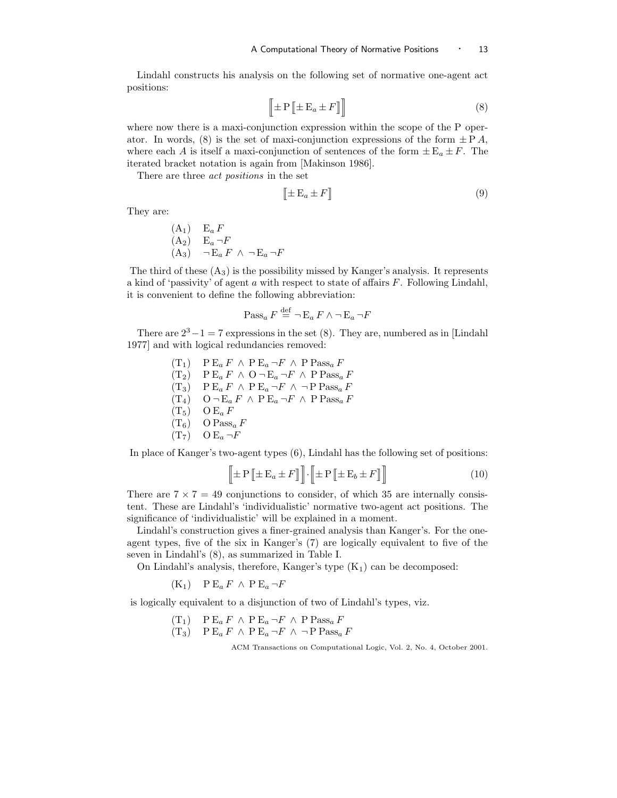Lindahl constructs his analysis on the following set of normative one-agent act positions:

$$
\left[\pm \mathbf{P}\left[\pm \mathbf{E}_a \pm F\right]\right] \tag{8}
$$

where now there is a maxi-conjunction expression within the scope of the P operator. In words, (8) is the set of maxi-conjunction expressions of the form  $\pm P A$ , where each A is itself a maxi-conjunction of sentences of the form  $\pm E_a \pm F$ . The iterated bracket notation is again from [Makinson 1986].

There are three act positions in the set

$$
\left[\pm \mathbf{E}_a \pm F\right] \tag{9}
$$

They are:

$$
(A1) \t Ea F\n(A2) \t Ea \neg F\n(A3) \t \neg Ea F \wedge \neg Ea \neg F
$$

The third of these  $(A_3)$  is the possibility missed by Kanger's analysis. It represents a kind of 'passivity' of agent  $a$  with respect to state of affairs  $F$ . Following Lindahl, it is convenient to define the following abbreviation:

$$
\operatorname{Pass}_a F \stackrel{\text{def}}{=} \neg \operatorname{E}_a F \wedge \neg \operatorname{E}_a \neg F
$$

There are  $2^3 - 1 = 7$  expressions in the set (8). They are, numbered as in [Lindahl] 1977] and with logical redundancies removed:

> $(T_1)$  P  $E_a F \wedge P E_a \neg F \wedge P P \text{ass}_a F$  $(T_2)$  P  $E_a F \wedge O \neg E_a \neg F \wedge P$  Pass<sub>a</sub> F  $(T_3)$  P  $E_a F \wedge P E_a \neg F \wedge \neg P P \text{ass}_a F$  $(T_4)$  O  $\neg E_a F \wedge P E_a \neg F \wedge P \text{Pass}_a F$  $(T_5)$  O E<sub>a</sub> F  $(T_6)$  O Pass<sub>a</sub> F  $(T_7)$  O E<sub>a</sub>  $\neg F$

In place of Kanger's two-agent types (6), Lindahl has the following set of positions:

$$
\left[\!\left[ \pm P \left[ \!\left[ \pm \mathbf{E}_a \pm F \right] \right] \!\right] \!\cdot \!\left[ \!\left[ \pm P \left[ \!\left[ \pm \mathbf{E}_b \pm F \right] \right] \right] \!\right] \tag{10}
$$

There are  $7 \times 7 = 49$  conjunctions to consider, of which 35 are internally consistent. These are Lindahl's 'individualistic' normative two-agent act positions. The significance of 'individualistic' will be explained in a moment.

Lindahl's construction gives a finer-grained analysis than Kanger's. For the oneagent types, five of the six in Kanger's (7) are logically equivalent to five of the seven in Lindahl's (8), as summarized in Table I.

On Lindahl's analysis, therefore, Kanger's type  $(K_1)$  can be decomposed:

 $(K_1)$  P  $E_a F \wedge P E_a \neg F$ 

is logically equivalent to a disjunction of two of Lindahl's types, viz.

 $(T_1)$  P  $E_a F \wedge P E_a \neg F \wedge P P \text{ass}_a F$  $(T_3)$  P  $E_a F \wedge P E_a \neg F \wedge \neg P P \text{ass}_a F$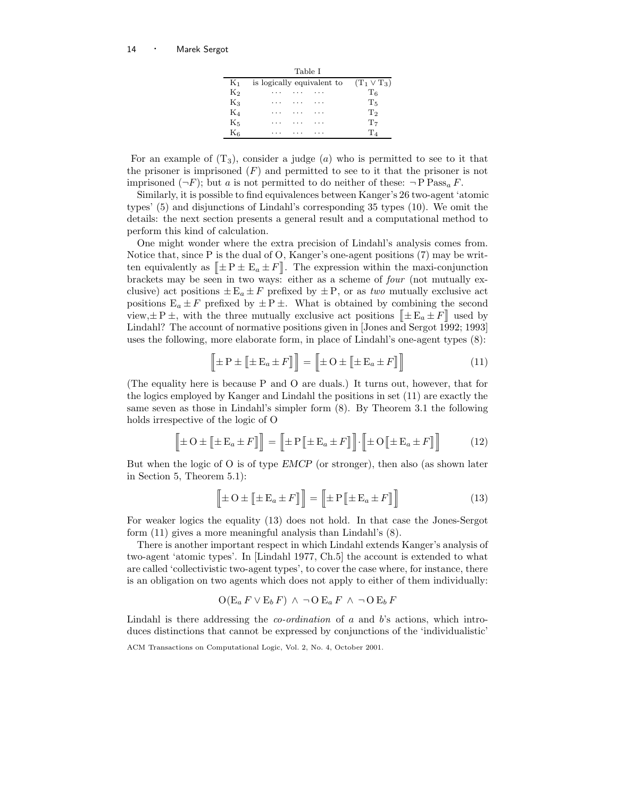| Table I   |                                             |                |  |  |  |  |  |  |
|-----------|---------------------------------------------|----------------|--|--|--|--|--|--|
| $K_1$     | is logically equivalent to $(T_1 \vee T_3)$ |                |  |  |  |  |  |  |
| $K_2$     | .                                           | T <sub>6</sub> |  |  |  |  |  |  |
| $K_3$     |                                             | $T_{5}$        |  |  |  |  |  |  |
| $K_4$     |                                             | T <sub>2</sub> |  |  |  |  |  |  |
| $K_5$     |                                             | $T_7$          |  |  |  |  |  |  |
| $\rm K_6$ |                                             | $\mathrm{T}_4$ |  |  |  |  |  |  |

For an example of  $(T_3)$ , consider a judge (a) who is permitted to see to it that the prisoner is imprisoned  $(F)$  and permitted to see to it that the prisoner is not imprisoned  $(\neg F)$ ; but a is not permitted to do neither of these:  $\neg P$  Pass<sub>a</sub> F.

Similarly, it is possible to find equivalences between Kanger's 26 two-agent 'atomic types' (5) and disjunctions of Lindahl's corresponding 35 types (10). We omit the details: the next section presents a general result and a computational method to perform this kind of calculation.

One might wonder where the extra precision of Lindahl's analysis comes from. Notice that, since P is the dual of O, Kanger's one-agent positions (7) may be written equivalently as  $[\pm P \pm E_a \pm F]$ . The expression within the maxi-conjunction brackets may be seen in two ways: either as a scheme of four (not mutually exclusive) act positions  $\pm E_a \pm F$  prefixed by  $\pm P$ , or as two mutually exclusive act positions  $E_a \pm F$  prefixed by  $\pm P \pm$ . What is obtained by combining the second view,  $\pm P \pm$ , with the three mutually exclusive act positions  $[\pm E_a \pm F]$  used by Lindahl? The account of normative positions given in [Jones and Sergot 1992; 1993] uses the following, more elaborate form, in place of Lindahl's one-agent types (8):

$$
\left[\pm P \pm [\pm E_a \pm F]\right] = \left[\pm O \pm [\pm E_a \pm F]\right]
$$
\n(11)

(The equality here is because P and O are duals.) It turns out, however, that for the logics employed by Kanger and Lindahl the positions in set (11) are exactly the same seven as those in Lindahl's simpler form (8). By Theorem 3.1 the following holds irrespective of the logic of O

$$
\left[\!\!\left[ \pm O \pm \left[ \!\left[ \pm \mathbf{E}_a \pm F \right] \right] \right] = \left[ \!\!\left[ \pm \mathbf{P} \left[ \!\left[ \pm \mathbf{E}_a \pm F \right] \right] \right] \!\!\right] \cdot \left[ \!\!\left[ \pm O \left[ \!\left[ \pm \mathbf{E}_a \pm F \right] \right] \right] \right] \tag{12}
$$

But when the logic of O is of type EMCP (or stronger), then also (as shown later in Section 5, Theorem 5.1):

$$
\left[\pm O \pm \left[\pm E_a \pm F\right]\right] = \left[\pm P \left[\pm E_a \pm F\right]\right]
$$
\n(13)

For weaker logics the equality (13) does not hold. In that case the Jones-Sergot form (11) gives a more meaningful analysis than Lindahl's (8).

There is another important respect in which Lindahl extends Kanger's analysis of two-agent 'atomic types'. In [Lindahl 1977, Ch.5] the account is extended to what are called 'collectivistic two-agent types', to cover the case where, for instance, there is an obligation on two agents which does not apply to either of them individually:

$$
\mathcal{O}(\mathcal{E}_a F \vee \mathcal{E}_b F) \wedge \neg \mathcal{O} \mathcal{E}_a F \wedge \neg \mathcal{O} \mathcal{E}_b F
$$

Lindahl is there addressing the *co-ordination* of a and b's actions, which introduces distinctions that cannot be expressed by conjunctions of the 'individualistic'

ACM Transactions on Computational Logic, Vol. 2, No. 4, October 2001.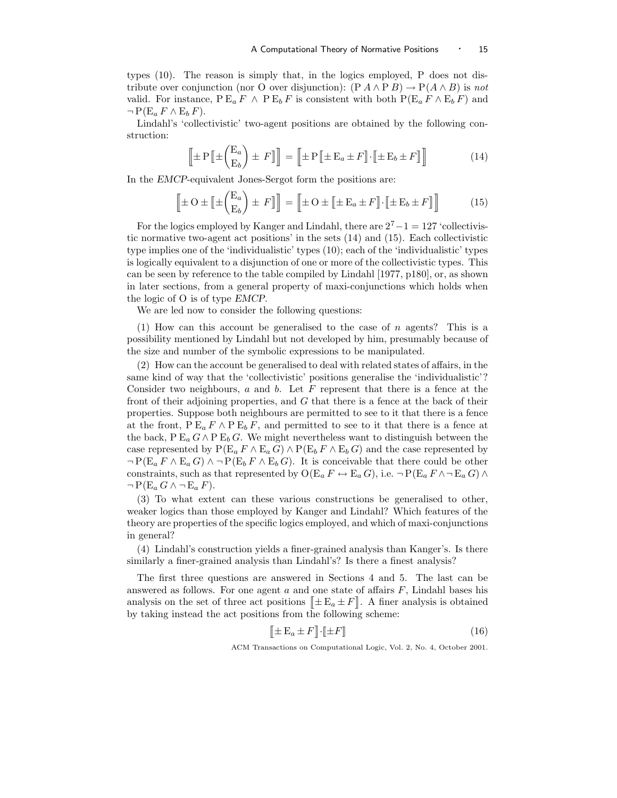types (10). The reason is simply that, in the logics employed, P does not distribute over conjunction (nor O over disjunction):  $(P A \wedge P B) \rightarrow P(A \wedge B)$  is not valid. For instance,  $P E_a F \wedge P E_b F$  is consistent with both  $P(E_a F \wedge E_b F)$  and  $\neg P(E_a F \wedge E_b F).$ 

Lindahl's 'collectivistic' two-agent positions are obtained by the following construction:

$$
\left[\pm \mathbf{P} \left[\pm \begin{pmatrix} \mathbf{E}_a \\ \mathbf{E}_b \end{pmatrix} \pm F \right] \right] = \left[\pm \mathbf{P} \left[\pm \mathbf{E}_a \pm F \right] \cdot \left[\pm \mathbf{E}_b \pm F \right] \right] \tag{14}
$$

In the EMCP-equivalent Jones-Sergot form the positions are:

$$
\left[\pm O \pm \left[\pm \binom{E_a}{E_b}\right] \pm F\right]\right] = \left[\pm O \pm \left[\pm E_a \pm F\right]\cdot \left[\pm E_b \pm F\right]\right] \tag{15}
$$

For the logics employed by Kanger and Lindahl, there are  $2^7 - 1 = 127$  'collectivistic normative two-agent act positions' in the sets (14) and (15). Each collectivistic type implies one of the 'individualistic' types (10); each of the 'individualistic' types is logically equivalent to a disjunction of one or more of the collectivistic types. This can be seen by reference to the table compiled by Lindahl [1977, p180], or, as shown in later sections, from a general property of maxi-conjunctions which holds when the logic of O is of type EMCP.

We are led now to consider the following questions:

(1) How can this account be generalised to the case of n agents? This is a possibility mentioned by Lindahl but not developed by him, presumably because of the size and number of the symbolic expressions to be manipulated.

(2) How can the account be generalised to deal with related states of affairs, in the same kind of way that the 'collectivistic' positions generalise the 'individualistic'? Consider two neighbours,  $a$  and  $b$ . Let  $F$  represent that there is a fence at the front of their adjoining properties, and G that there is a fence at the back of their properties. Suppose both neighbours are permitted to see to it that there is a fence at the front,  $P E_a F \wedge P E_b F$ , and permitted to see to it that there is a fence at the back, P  $E_a G \wedge P E_b G$ . We might nevertheless want to distinguish between the case represented by  $P(E_a F \wedge E_a G) \wedge P(E_b F \wedge E_b G)$  and the case represented by  $\neg P(E_a F \wedge E_a G) \wedge \neg P(E_b F \wedge E_b G)$ . It is conceivable that there could be other constraints, such as that represented by  $O(E_a F \leftrightarrow E_a G)$ , i.e.  $\neg P(E_a F \land \neg E_a G) \land$  $\neg P(E_a G \wedge \neg E_a F).$ 

(3) To what extent can these various constructions be generalised to other, weaker logics than those employed by Kanger and Lindahl? Which features of the theory are properties of the specific logics employed, and which of maxi-conjunctions in general?

(4) Lindahl's construction yields a finer-grained analysis than Kanger's. Is there similarly a finer-grained analysis than Lindahl's? Is there a finest analysis?

The first three questions are answered in Sections 4 and 5. The last can be answered as follows. For one agent  $a$  and one state of affairs  $F$ , Lindahl bases his analysis on the set of three act positions  $[\pm E_a \pm F]$ . A finer analysis is obtained by taking instead the act positions from the following scheme:

$$
\left[\pm \mathbf{E}_a \pm F\right] \cdot \left[\pm F\right] \tag{16}
$$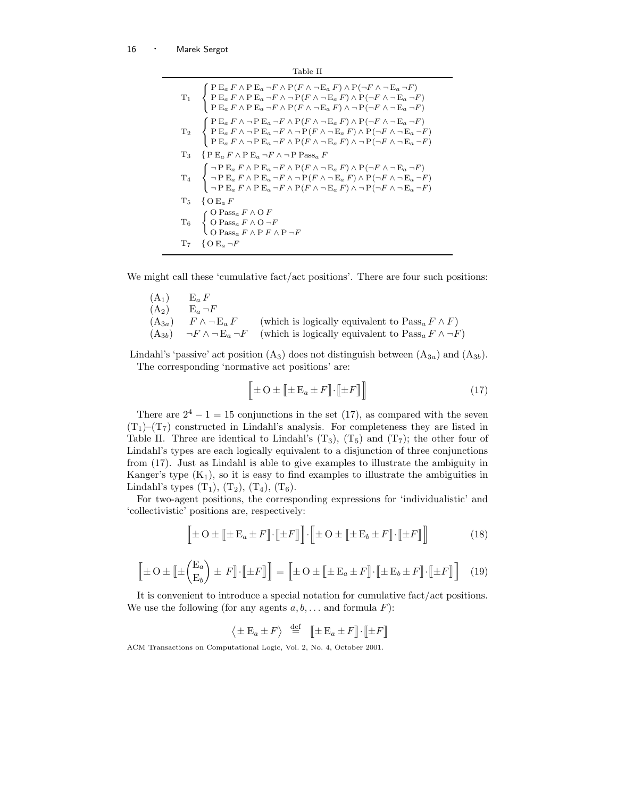| Table II |                                                                                                                                                                                                                                                                                                                                                                                                                                                                                                        |  |  |  |
|----------|--------------------------------------------------------------------------------------------------------------------------------------------------------------------------------------------------------------------------------------------------------------------------------------------------------------------------------------------------------------------------------------------------------------------------------------------------------------------------------------------------------|--|--|--|
|          | $\label{eq:3} \begin{array}{ll} \displaystyle T_1 & \left\{ \begin{array}{ll} \displaystyle {\rm P}\, {\rm E}_a\, F \wedge {\rm P}\, {\rm E}_a \neg F \wedge {\rm P}(F \wedge \neg {\rm E}_a\, F) \wedge {\rm P}(\neg F \wedge \neg {\rm E}_a \neg F) \\[1mm] \displaystyle {\rm P}\, {\rm E}_a\, F \wedge {\rm P}\, {\rm E}_a \neg F \wedge \neg {\rm P}(F \wedge \neg {\rm E}_a\, F) \wedge {\rm P}(\neg F \wedge \neg {\rm E}_a \neg F) \\[1mm] \displaystyle {\rm P}\, {\rm E}_a\, F \wedge {\$    |  |  |  |
|          | $\label{eq:2} \begin{array}{ll} \displaystyle T_2 & \left\{ \begin{array}{ll} \displaystyle {\rm P}\, {\rm E}_a\, F \wedge \neg \, {\rm P}\, {\rm E}_a \neg F \wedge {\rm P}(F \wedge \neg \, {\rm E}_a\, F) \wedge {\rm P}(\neg F \wedge \neg \, {\rm E}_a \neg F) \\ \displaystyle {\rm P}\, {\rm E}_a\, F \wedge \neg \, {\rm P}\, {\rm E}_a \neg F \wedge \neg {\rm P}(F \wedge \neg \, {\rm E}_a\, F) \wedge {\rm P}(\neg F \wedge \neg \, {\rm E}_a \neg F) \\ \displaystyle {\rm P}\, {\rm E}_$ |  |  |  |
|          | $T_3$ {PE <sub>a</sub> $F \wedge P$ E <sub>a</sub> $\neg F \wedge \neg P$ Pass <sub>a</sub> F                                                                                                                                                                                                                                                                                                                                                                                                          |  |  |  |
|          | $\label{eq:3.1} \begin{array}{ll} \displaystyle T_4 & \left\{ \begin{array}{l} \neg\, {\rm P}\, {\rm E}_a\, F \wedge {\rm P}\, {\rm E}_a \neg F \wedge {\rm P}\, (F \wedge \neg \, {\rm E}_a\, F) \wedge {\rm P}\, (\neg F \wedge \neg \, {\rm E}_a \neg F) \\[1mm] \neg\, {\rm P}\, {\rm E}_a\, F \wedge {\rm P}\, {\rm E}_a \neg F \wedge \neg \, {\rm P}\, (F \wedge \neg \, {\rm E}_a\, F) \wedge {\rm P}\, (\neg F \wedge \neg \, {\rm E}_a \neg F) \\[1mm]$                                      |  |  |  |
|          | $T_5 \quad \{\text{O E}_a F$                                                                                                                                                                                                                                                                                                                                                                                                                                                                           |  |  |  |
|          | $\mathrm{T}_6 \quad \left\{ \begin{array}{ll} \mathrm{O\,Passa}\, F \wedge \mathrm{O}\,F \\ \mathrm{O\,Passa}\, F \wedge \mathrm{O}\, \neg F \\ \mathrm{O\,Passa}\, F \wedge \mathrm{P}\, F \wedge \mathrm{P}\, \neg F \end{array} \right.$                                                                                                                                                                                                                                                            |  |  |  |
|          | $T_7 \quad \{O E_a \neg F$                                                                                                                                                                                                                                                                                                                                                                                                                                                                             |  |  |  |

We might call these 'cumulative fact/act positions'. There are four such positions:

 $(A_1)$   $E_a F$ <br> $(A_2)$   $E_a \neg$  $\begin{array}{l} {\rm E}_a \, \neg F \\[1mm] F \wedge \neg \, {\rm E}_a \, F \end{array}$ (A<sub>3a</sub>)  $F \wedge \neg E_a F$  (which is logically equivalent to Pass<sub>a</sub>  $F \wedge F$ )<br>(A<sub>3b</sub>)  $\neg F \wedge \neg E_a \neg F$  (which is logically equivalent to Pass<sub>a</sub>  $F \wedge \neg F$  $(A_{3b})$   $\neg F \wedge \neg E_a \neg F$  (which is logically equivalent to  $Pass_a F \wedge \neg F$ )

Lindahl's 'passive' act position  $(A_3)$  does not distinguish between  $(A_{3a})$  and  $(A_{3b})$ . The corresponding 'normative act positions' are:

$$
\left[\pm O \pm [\pm E_a \pm F] \cdot [\pm F] \right]
$$
\n(17)

There are  $2^4 - 1 = 15$  conjunctions in the set (17), as compared with the seven  $(T_1)$ – $(T_7)$  constructed in Lindahl's analysis. For completeness they are listed in Table II. Three are identical to Lindahl's  $(T_3)$ ,  $(T_5)$  and  $(T_7)$ ; the other four of Lindahl's types are each logically equivalent to a disjunction of three conjunctions from (17). Just as Lindahl is able to give examples to illustrate the ambiguity in Kanger's type  $(K_1)$ , so it is easy to find examples to illustrate the ambiguities in Lindahl's types  $(T_1)$ ,  $(T_2)$ ,  $(T_4)$ ,  $(T_6)$ .

For two-agent positions, the corresponding expressions for 'individualistic' and 'collectivistic' positions are, respectively:

$$
\left[\!\!\left[ \pm O \pm \left[ \!\left[ \pm \mathbf{E}_a \pm F \right] \!\right] \cdot \left[ \!\left[ \pm F \right] \right] \right] \cdot \left[ \!\!\left[ \pm O \pm \left[ \!\left[ \pm \mathbf{E}_b \pm F \right] \right] \cdot \left[ \!\left[ \pm F \right] \right] \right] \right] \tag{18}
$$

$$
\left[\!\!\left[\pm O \pm \left[\!\!\left[\pm \binom{\mathrm{E}_a}{\mathrm{E}_b}\right] \pm F\right]\!\!\right]\cdot \left[\!\!\left[\pm F\right]\!\!\right]\right] = \left[\!\!\left[\pm O \pm \left[\!\!\left[\pm \mathrm{E}_a \pm F\right]\!\!\right]\cdot \left[\!\!\left[\pm \mathrm{E}_b \pm F\right]\!\!\right]\cdot \left[\!\!\left[\pm F\right]\!\!\right]\right]\right] \tag{19}
$$

It is convenient to introduce a special notation for cumulative fact/act positions. We use the following (for any agents  $a, b, \ldots$  and formula F):

$$
\left\langle \pm \mathbf{E}_a \pm F \right\rangle \stackrel{\text{def}}{=} \left[ \pm \mathbf{E}_a \pm F \right] \cdot \left[ \pm F \right]
$$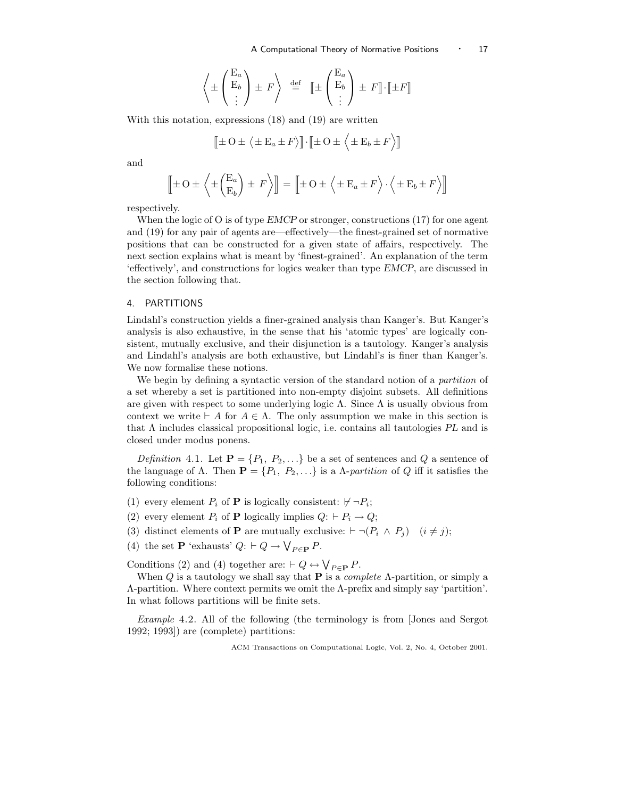$$
\left\langle \pm \begin{pmatrix} \mathcal{E}_a \\ \mathcal{E}_b \\ \vdots \end{pmatrix} \pm F \right\rangle \stackrel{\text{def}}{=} \left[ \pm \begin{pmatrix} \mathcal{E}_a \\ \mathcal{E}_b \\ \vdots \end{pmatrix} \pm F \right] \cdot \left[ \pm F \right]
$$

With this notation, expressions (18) and (19) are written

$$
\left[\pm O \pm \langle \pm E_a \pm F \rangle\right] \cdot \left[\pm O \pm \langle \pm E_b \pm F \rangle\right]
$$

and

$$
\left[\pm O \pm \left\langle \pm \left(\frac{E_a}{E_b}\right) \pm F \right\rangle\right] = \left[\pm O \pm \left\langle \pm E_a \pm F \right\rangle \cdot \left\langle \pm E_b \pm F \right\rangle\right]
$$

respectively.

When the logic of O is of type  $EMCP$  or stronger, constructions (17) for one agent and (19) for any pair of agents are—effectively—the finest-grained set of normative positions that can be constructed for a given state of affairs, respectively. The next section explains what is meant by 'finest-grained'. An explanation of the term 'effectively', and constructions for logics weaker than type EMCP, are discussed in the section following that.

## 4. PARTITIONS

Lindahl's construction yields a finer-grained analysis than Kanger's. But Kanger's analysis is also exhaustive, in the sense that his 'atomic types' are logically consistent, mutually exclusive, and their disjunction is a tautology. Kanger's analysis and Lindahl's analysis are both exhaustive, but Lindahl's is finer than Kanger's. We now formalise these notions.

We begin by defining a syntactic version of the standard notion of a *partition* of a set whereby a set is partitioned into non-empty disjoint subsets. All definitions are given with respect to some underlying logic  $\Lambda$ . Since  $\Lambda$  is usually obvious from context we write  $\vdash A$  for  $A \in \Lambda$ . The only assumption we make in this section is that  $\Lambda$  includes classical propositional logic, i.e. contains all tautologies PL and is closed under modus ponens.

Definition 4.1. Let  $\mathbf{P} = \{P_1, P_2, \ldots\}$  be a set of sentences and Q a sentence of the language of  $\Lambda$ . Then  $\mathbf{P} = \{P_1, P_2, \ldots\}$  is a  $\Lambda$ -partition of Q iff it satisfies the following conditions:

- (1) every element  $P_i$  of **P** is logically consistent:  $\nvdash \neg P_i$ ;
- (2) every element  $P_i$  of **P** logically implies  $Q: \vdash P_i \to Q;$
- (3) distinct elements of **P** are mutually exclusive:  $\vdash \neg (P_i \land P_j)$   $(i \neq j);$
- (4) the set **P** 'exhausts'  $Q: \vdash Q \to \bigvee_{P \in \mathbf{P}} P$ .

Conditions (2) and (4) together are:  $\vdash Q \leftrightarrow \bigvee_{P \in \mathbf{P}} P$ .

When Q is a tautology we shall say that **P** is a *complete*  $\Lambda$ -partition, or simply a Λ-partition. Where context permits we omit the Λ-prefix and simply say 'partition'. In what follows partitions will be finite sets.

Example 4.2. All of the following (the terminology is from [Jones and Sergot 1992; 1993]) are (complete) partitions: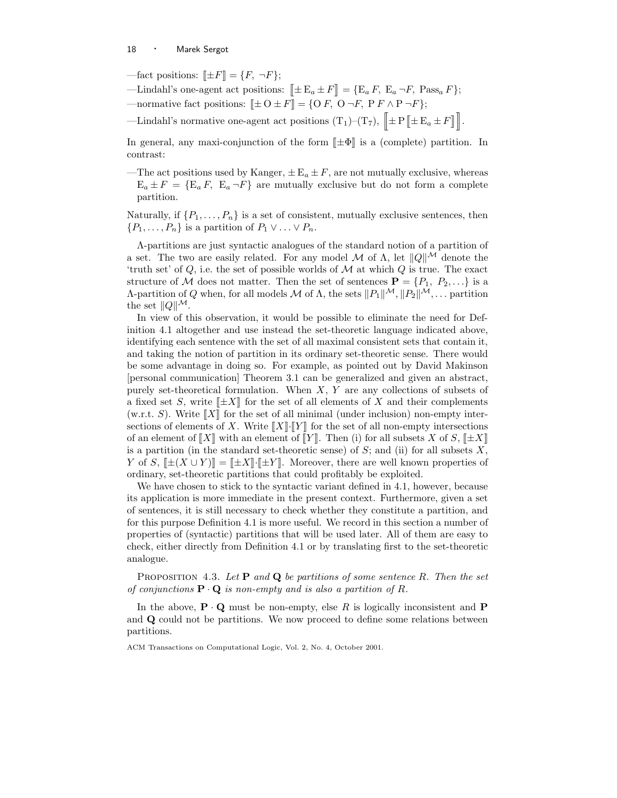- —fact positions:  $[\pm F] = \{F, \neg F\};$
- —Lindahl's one-agent act positions:  $[\pm E_a \pm F] = \{E_a F, E_a \neg F, \text{Pass}_a F\};$
- —normative fact positions:  $[\pm O \pm F] = \{O F, O \neg F, P F \wedge P \neg F\};$
- -Lindahl's normative one-agent act positions  $(T_1)$ - $(T_7)$ ,  $\|\pm P\|\pm E_a \pm F\|$ .

In general, any maxi-conjunction of the form  $\|\pm\Phi\|$  is a (complete) partition. In contrast:

—The act positions used by Kanger,  $\pm E_a \pm F$ , are not mutually exclusive, whereas  $E_a \pm F = \{E_a F, E_a \neg F\}$  are mutually exclusive but do not form a complete partition.

Naturally, if  $\{P_1, \ldots, P_n\}$  is a set of consistent, mutually exclusive sentences, then  $\{P_1, \ldots, P_n\}$  is a partition of  $P_1 \vee \ldots \vee P_n$ .

Λ-partitions are just syntactic analogues of the standard notion of a partition of a set. The two are easily related. For any model M of  $\Lambda$ , let  $||Q||^{\mathcal{M}}$  denote the 'truth set' of  $Q$ , i.e. the set of possible worlds of  $M$  at which  $Q$  is true. The exact structure of M does not matter. Then the set of sentences  $\mathbf{P} = \{P_1, P_2, ...\}$  is a Λ-partition of Q when, for all models  $\mathcal M$  of  $\Lambda$ , the sets  $||P_1||^{\mathcal M}, ||P_2||^{\mathcal M}, \dots$  partition the set  $||Q||^{\mathcal{M}}$ .

In view of this observation, it would be possible to eliminate the need for Definition 4.1 altogether and use instead the set-theoretic language indicated above, identifying each sentence with the set of all maximal consistent sets that contain it, and taking the notion of partition in its ordinary set-theoretic sense. There would be some advantage in doing so. For example, as pointed out by David Makinson [personal communication] Theorem 3.1 can be generalized and given an abstract, purely set-theoretical formulation. When  $X, Y$  are any collections of subsets of a fixed set S, write  $[\pm X]$  for the set of all elements of X and their complements (w.r.t. S). Write  $\llbracket X \rrbracket$  for the set of all minimal (under inclusion) non-empty intersections of elements of X. Write  $\llbracket X \rrbracket \cdot \llbracket Y \rrbracket$  for the set of all non-empty intersections of an element of  $\llbracket X \rrbracket$  with an element of  $\llbracket Y \rrbracket$ . Then (i) for all subsets X of S,  $\llbracket \pm X \rrbracket$ is a partition (in the standard set-theoretic sense) of  $S$ ; and (ii) for all subsets  $X$ , Y of S,  $[\pm(X \cup Y)] = [\pm X] \cdot [\pm Y]$ . Moreover, there are well known properties of ordinary, set-theoretic partitions that could profitably be exploited.

We have chosen to stick to the syntactic variant defined in 4.1, however, because its application is more immediate in the present context. Furthermore, given a set of sentences, it is still necessary to check whether they constitute a partition, and for this purpose Definition 4.1 is more useful. We record in this section a number of properties of (syntactic) partitions that will be used later. All of them are easy to check, either directly from Definition 4.1 or by translating first to the set-theoretic analogue.

PROPOSITION 4.3. Let  $P$  and  $Q$  be partitions of some sentence R. Then the set of conjunctions  $\mathbf{P} \cdot \mathbf{Q}$  is non-empty and is also a partition of R.

In the above,  $P \cdot Q$  must be non-empty, else R is logically inconsistent and P and Q could not be partitions. We now proceed to define some relations between partitions.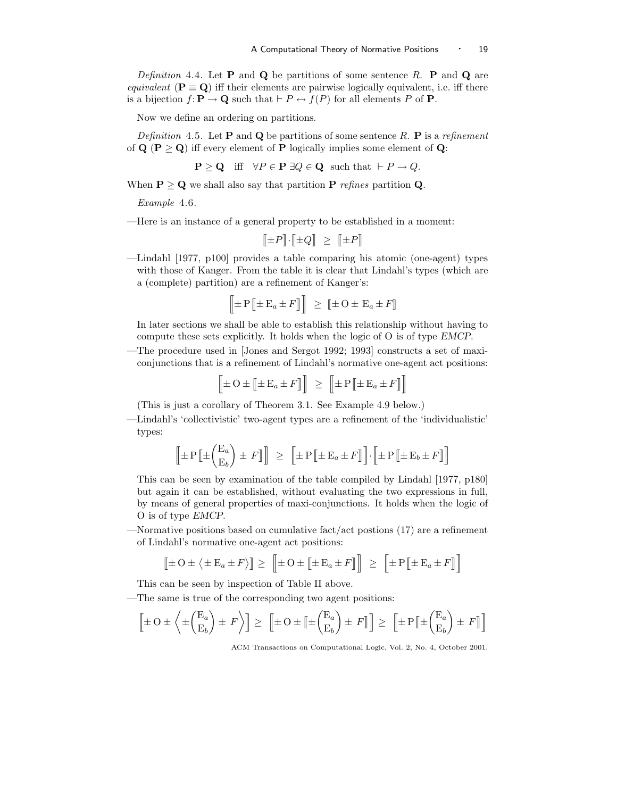Definition 4.4. Let **P** and **Q** be partitions of some sentence R. **P** and **Q** are equivalent ( $P \equiv Q$ ) iff their elements are pairwise logically equivalent, i.e. iff there is a bijection  $f: \mathbf{P} \to \mathbf{Q}$  such that  $\vdash P \leftrightarrow f(P)$  for all elements P of **P**.

Now we define an ordering on partitions.

Definition 4.5. Let **P** and **Q** be partitions of some sentence R. **P** is a refinement of  $Q (P \geq Q)$  iff every element of P logically implies some element of Q:

$$
\mathbf{P} \geq \mathbf{Q} \quad \text{iff} \quad \forall P \in \mathbf{P} \; \exists Q \in \mathbf{Q} \quad \text{such that} \; \vdash P \to Q.
$$

When  $P \ge Q$  we shall also say that partition P refines partition Q.

Example 4.6.

—Here is an instance of a general property to be established in a moment:

 $\llbracket \pm P \rrbracket \cdot \llbracket \pm Q \rrbracket \geq \llbracket \pm P \rrbracket$ 

—Lindahl [1977, p100] provides a table comparing his atomic (one-agent) types with those of Kanger. From the table it is clear that Lindahl's types (which are a (complete) partition) are a refinement of Kanger's:

$$
\left[\!\!\left[ \pm P \left[ \!\!\left[ \pm \mathbf{E}_a \pm F \right] \right] \right] \!\!\right] \geq \left[ \!\!\left[ \pm \mathbf{O} \pm \mathbf{E}_a \pm F \right] \!\!\right]
$$

In later sections we shall be able to establish this relationship without having to compute these sets explicitly. It holds when the logic of O is of type EMCP.

—The procedure used in [Jones and Sergot 1992; 1993] constructs a set of maxiconjunctions that is a refinement of Lindahl's normative one-agent act positions:

$$
\left[\!\!\left[ \pm\mathrm{O} \pm \left[ \!\!\left[ \pm\mathrm{E}_a \pm F \right] \right] \right]\!\!\right] \;\geq\; \left[\!\!\left[ \pm\mathrm{P} \left[ \!\!\left[ \pm\mathrm{E}_a \pm F \right] \right] \right]
$$

(This is just a corollary of Theorem 3.1. See Example 4.9 below.)

—Lindahl's 'collectivistic' two-agent types are a refinement of the 'individualistic' types:

$$
\left[\!\!\left[ \pm P \left[ \!\!\left[ \pm \! \left( \!\!\!\begin{array}{c} {\mathbf{E}}_a \\ {\mathbf{E}}_b \end{array} \!\!\right) \pm F \right] \right]\!\!\right] \;\geq\; \left[\!\!\left[ \pm P \left[ \!\!\left[ \pm {\mathbf{E}}_a \pm F \right] \right] \right]\!\!\right] \cdot \left[\!\!\left[ \pm P \left[ \!\!\left[ \pm {\mathbf{E}}_b \pm F \right] \right] \right]\!\!\right]
$$

This can be seen by examination of the table compiled by Lindahl [1977, p180] but again it can be established, without evaluating the two expressions in full, by means of general properties of maxi-conjunctions. It holds when the logic of O is of type EMCP.

—Normative positions based on cumulative fact/act postions (17) are a refinement of Lindahl's normative one-agent act positions:

$$
\left[\!\left[\pm O \pm \left\langle \pm \mathbf{E}_a \pm F \right\rangle\right]\!\right] \ge \left[\!\left[\pm O \pm \left[\!\left[\pm \mathbf{E}_a \pm F \right]\right]\right]\right] \ge \left[\!\left[\pm \mathrm{P} \left[\!\left[\pm \mathbf{E}_a \pm F \right]\right]\right]\!\right]
$$

This can be seen by inspection of Table II above.

—The same is true of the corresponding two agent positions:

$$
\left[\pm O \pm \left\langle \pm \begin{pmatrix} E_a \\ E_b \end{pmatrix} \pm F \right\rangle \right] \ge \left[\pm O \pm \left[\pm \begin{pmatrix} E_a \\ E_b \end{pmatrix} \pm F \right] \right] \ge \left[\pm P \left[\pm \begin{pmatrix} E_a \\ E_b \end{pmatrix} \pm F \right] \right]
$$

ACM Transactions on Computational Logic, Vol. 2, No. 4, October 2001.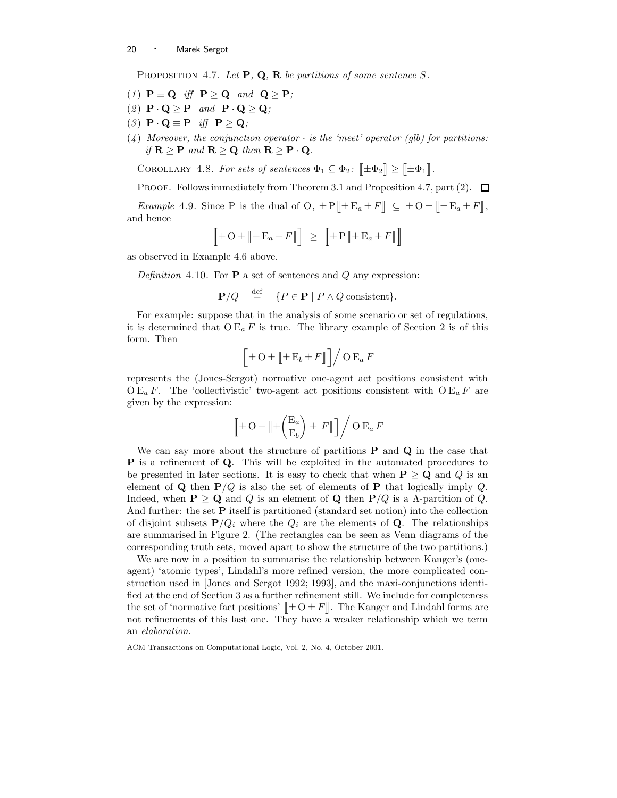PROPOSITION 4.7. Let  $P$ ,  $Q$ ,  $R$  be partitions of some sentence S.

- (1)  $P \equiv Q$  iff  $P \ge Q$  and  $Q \ge P$ ;
- (2)  $\mathbf{P} \cdot \mathbf{Q} \geq \mathbf{P}$  and  $\mathbf{P} \cdot \mathbf{Q} \geq \mathbf{Q}$ ;
- (3)  $\mathbf{P} \cdot \mathbf{Q} \equiv \mathbf{P}$  iff  $\mathbf{P} \geq \mathbf{Q}$ ;
- $(4)$  Moreover, the conjunction operator  $\cdot$  is the 'meet' operator (glb) for partitions: if  $\mathbf{R} \geq \mathbf{P}$  and  $\mathbf{R} \geq \mathbf{Q}$  then  $\mathbf{R} \geq \mathbf{P} \cdot \mathbf{Q}$ .

COROLLARY 4.8. For sets of sentences  $\Phi_1 \subseteq \Phi_2$ :  $[\pm \Phi_2] \geq [\pm \Phi_1]$ .

**PROOF.** Follows immediately from Theorem 3.1 and Proposition 4.7, part (2).  $\Box$ 

*Example* 4.9. Since P is the dual of O,  $\pm P \llbracket \pm E_a \pm F \rrbracket \subseteq \pm O \pm \llbracket \pm E_a \pm F \rrbracket$ , and hence

$$
\left[\!\!\left[ \pm\mathrm{O}\pm\left[\!\!\left[ \pm\mathrm{E}_a\pm F\right]\!\!\right]\right]\!\!\right]\;\geq\;\left[\!\!\left[ \pm\mathrm{P}\left[\!\!\left[ \pm\mathrm{E}_a\pm F\right]\!\!\right]\right]\!\!\right]
$$

as observed in Example 4.6 above.

Definition 4.10. For  $P$  a set of sentences and  $Q$  any expression:

$$
\mathbf{P}/Q \stackrel{\text{def}}{=} \{ P \in \mathbf{P} \mid P \land Q \text{ consistent} \}.
$$

For example: suppose that in the analysis of some scenario or set of regulations, it is determined that  $O E_a F$  is true. The library example of Section 2 is of this form. Then

$$
\left[\!\left[ \pm \mathrm{O} \pm \left[ \!\left[ \pm \mathrm{E}_b \pm F \right] \right] \right]\right/O\, \mathrm{E}_a\, F
$$

represents the (Jones-Sergot) normative one-agent act positions consistent with  $O E_a F$ . The 'collectivistic' two-agent act positions consistent with  $O E_a F$  are given by the expression:

$$
\left[\!\!\left[ \pm O \pm \left[ \!\!\left[ \pm \binom{\mathcal{E}_a}{\mathcal{E}_b} \right] \pm F \right] \right]\!\!\right] / O \, \mathcal{E}_a \, F
$$

We can say more about the structure of partitions  $P$  and  $Q$  in the case that **P** is a refinement of **Q**. This will be exploited in the automated procedures to be presented in later sections. It is easy to check that when  $P \ge Q$  and Q is an element of **Q** then  $P/Q$  is also the set of elements of **P** that logically imply Q. Indeed, when  $P \ge Q$  and Q is an element of Q then  $P/Q$  is a  $\Lambda$ -partition of Q. And further: the set P itself is partitioned (standard set notion) into the collection of disjoint subsets  $P/Q_i$  where the  $Q_i$  are the elements of Q. The relationships are summarised in Figure 2. (The rectangles can be seen as Venn diagrams of the corresponding truth sets, moved apart to show the structure of the two partitions.)

We are now in a position to summarise the relationship between Kanger's (oneagent) 'atomic types', Lindahl's more refined version, the more complicated construction used in [Jones and Sergot 1992; 1993], and the maxi-conjunctions identified at the end of Section 3 as a further refinement still. We include for completeness the set of 'normative fact positions'  $[\pm O \pm F]$ . The Kanger and Lindahl forms are not refinements of this last one. They have a weaker relationship which we term an elaboration.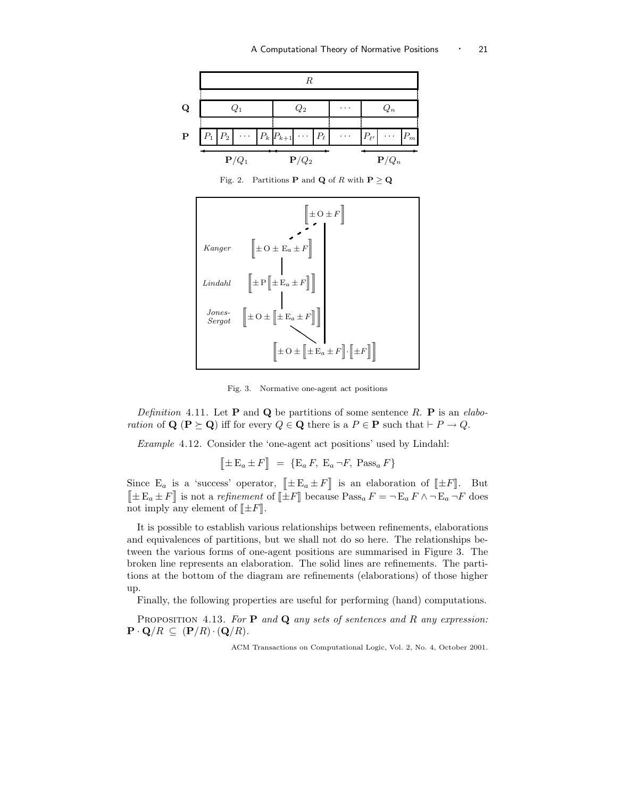

Fig. 2. Partitions **P** and **Q** of R with **P**  $\geq$  **Q** 



Fig. 3. Normative one-agent act positions

Definition 4.11. Let **P** and **Q** be partitions of some sentence R. **P** is an elaboration of  $\mathbf{Q}$  ( $\mathbf{P} \succeq \mathbf{Q}$ ) iff for every  $Q \in \mathbf{Q}$  there is a  $P \in \mathbf{P}$  such that  $\vdash P \to Q$ .

Example 4.12. Consider the 'one-agent act positions' used by Lindahl:

$$
\[\pm \mathbf{E}_a \pm F\] = \{\mathbf{E}_a F, \mathbf{E}_a \neg F, \text{Pass}_a F\}
$$

Since  $E_a$  is a 'success' operator,  $[\pm E_a \pm F]$  is an elaboration of  $[\pm F]$ . But  $[\![\pm E_a \pm F]\!]$  is not a refinement of  $[\![\pm F]\!]$  because  $\text{Pass}_a F = \neg E_a F \wedge \neg E_a \neg F$  does not imply any element of  $[\pm F]$ .

It is possible to establish various relationships between refinements, elaborations and equivalences of partitions, but we shall not do so here. The relationships between the various forms of one-agent positions are summarised in Figure 3. The broken line represents an elaboration. The solid lines are refinements. The partitions at the bottom of the diagram are refinements (elaborations) of those higher up.

Finally, the following properties are useful for performing (hand) computations.

PROPOSITION 4.13. For  $P$  and  $Q$  any sets of sentences and R any expression:  $\mathbf{P} \cdot \mathbf{Q}/R \subseteq (\mathbf{P}/R) \cdot (\mathbf{Q}/R).$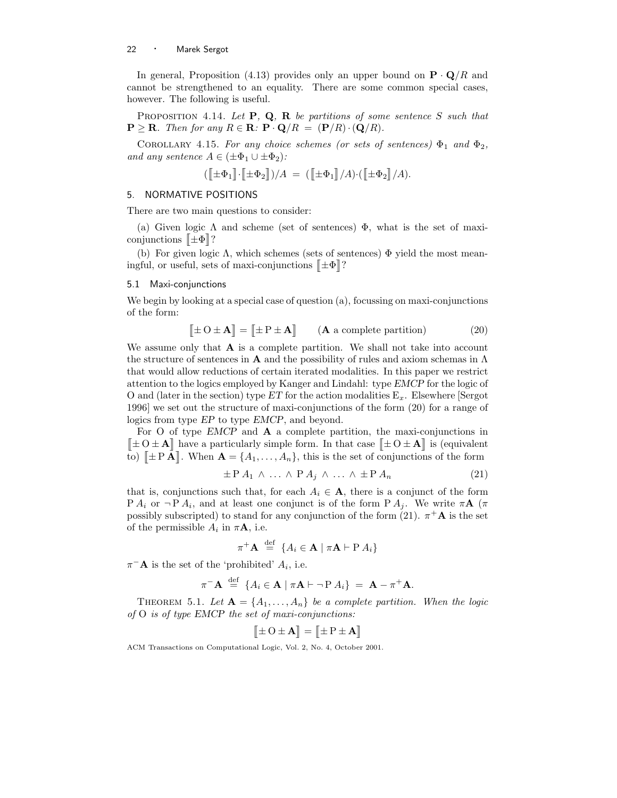In general, Proposition (4.13) provides only an upper bound on  $\mathbf{P} \cdot \mathbf{Q}/R$  and cannot be strengthened to an equality. There are some common special cases, however. The following is useful.

PROPOSITION 4.14. Let  $P$ ,  $Q$ ,  $R$  be partitions of some sentence S such that  $\mathbf{P} \geq \mathbf{R}$ . Then for any  $R \in \mathbf{R}$ :  $\mathbf{P} \cdot \mathbf{Q}/R = (\mathbf{P}/R) \cdot (\mathbf{Q}/R)$ .

COROLLARY 4.15. For any choice schemes (or sets of sentences)  $\Phi_1$  and  $\Phi_2$ , and any sentence  $A \in (\pm \Phi_1 \cup \pm \Phi_2)$ :

$$
(\textcolor{black}{[\![}\pm\Phi_1{]\!]}\!\cdot\!\textcolor{black}{[\![}\pm\Phi_2{]\!]\!)})/A \ = \ (\textcolor{black}{[\![}\pm\Phi_1{]\!]\!}\!/A)\!\cdot\!\textcolor{black}{[\![}\pm\Phi_2{]\!]\!}\!/A).
$$

# 5. NORMATIVE POSITIONS

There are two main questions to consider:

(a) Given logic  $\Lambda$  and scheme (set of sentences)  $\Phi$ , what is the set of maxiconjunctions  $\mathbb{E}[\mathbf{\Phi}]$ ?

(b) For given logic  $\Lambda$ , which schemes (sets of sentences)  $\Phi$  yield the most meaningful, or useful, sets of maxi-conjunctions  $[\![ \pm \Phi ]\!]$ ?

# 5.1 Maxi-conjunctions

We begin by looking at a special case of question (a), focussing on maxi-conjunctions of the form:

$$
\llbracket \pm O \pm \mathbf{A} \rrbracket = \llbracket \pm P \pm \mathbf{A} \rrbracket \qquad (\mathbf{A} \text{ a complete partition}) \tag{20}
$$

We assume only that  $A$  is a complete partition. We shall not take into account the structure of sentences in A and the possibility of rules and axiom schemas in  $\Lambda$ that would allow reductions of certain iterated modalities. In this paper we restrict attention to the logics employed by Kanger and Lindahl: type EMCP for the logic of O and (later in the section) type ET for the action modalities  $E_x$ . Elsewhere [Sergot] 1996] we set out the structure of maxi-conjunctions of the form (20) for a range of logics from type EP to type EMCP, and beyond.

For O of type  $EMCP$  and  $\bf{A}$  a complete partition, the maxi-conjunctions in  $[\pm O \pm A]$  have a particularly simple form. In that case  $[\pm O \pm A]$  is (equivalent to)  $[\![\pm P \mathbf{A}]\!]$ . When  $\mathbf{A} = \{A_1, \ldots, A_n\}$ , this is the set of conjunctions of the form

$$
\pm P A_1 \wedge \ldots \wedge P A_j \wedge \ldots \wedge \pm P A_n \tag{21}
$$

that is, conjunctions such that, for each  $A_i \in \mathbf{A}$ , there is a conjunct of the form  $P A_i$  or  $\neg P A_i$ , and at least one conjunct is of the form  $P A_j$ . We write  $\pi A$  ( $\pi$ possibly subscripted) to stand for any conjunction of the form (21).  $\pi^+ \mathbf{A}$  is the set of the permissible  $A_i$  in  $\pi \mathbf{A}$ , i.e.

$$
\pi^{+}\mathbf{A} \stackrel{\text{def}}{=} \{A_{i} \in \mathbf{A} \mid \pi \mathbf{A} \vdash \mathrm{P} \, A_{i}\}
$$

 $\pi^- \mathbf{A}$  is the set of the 'prohibited'  $A_i$ , i.e.

$$
\pi^{-} \mathbf{A} \stackrel{\text{def}}{=} \{ A_i \in \mathbf{A} \mid \pi \mathbf{A} \vdash \neg P \, A_i \} = \mathbf{A} - \pi^{+} \mathbf{A}.
$$

THEOREM 5.1. Let  $\mathbf{A} = \{A_1, \ldots, A_n\}$  be a complete partition. When the logic of O is of type EMCP the set of maxi-conjunctions:

$$
\big[\!\!\big[\!\!\big[\pm\operatorname{O}\pm\mathbf{A}\big]\!\!\big]=\big[\!\!\big[\!\!\big[\pm\operatorname{P}\pm\mathbf{A}\big]\!\!\big]
$$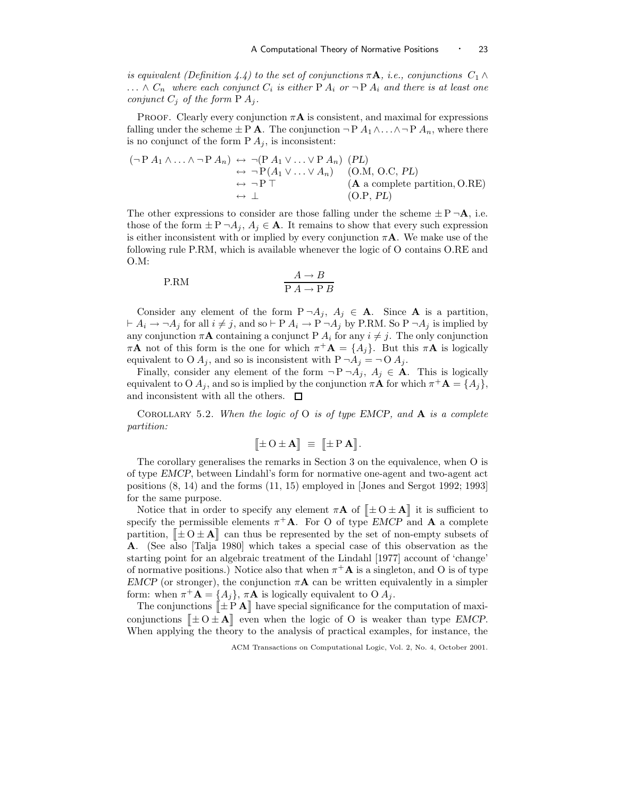is equivalent (Definition 4.4) to the set of conjunctions  $\pi A$ , i.e., conjunctions  $C_1 \wedge$  $\ldots \wedge C_n$  where each conjunct  $C_i$  is either P  $A_i$  or  $\neg$  P  $A_i$  and there is at least one conjunct  $C_j$  of the form  $P A_j$ .

PROOF. Clearly every conjunction  $\pi A$  is consistent, and maximal for expressions falling under the scheme  $\pm$  P **A**. The conjunction  $\neg$  P  $A_1 \wedge \ldots \wedge \neg$  P  $A_n$ , where there is no conjunct of the form  $P A_i$ , is inconsistent:

$$
(\neg P A_1 \land \dots \land \neg P A_n) \leftrightarrow \neg (P A_1 \lor \dots \lor P A_n) \quad (PL)
$$
  
\n
$$
\leftrightarrow \neg P(A_1 \lor \dots \lor A_n) \quad (O.M, O.C, PL)
$$
  
\n
$$
\leftrightarrow \neg P \top \qquad (A \text{ a complete partition, O.RE})
$$
  
\n
$$
\leftrightarrow \perp \qquad (O.P, PL)
$$

The other expressions to consider are those falling under the scheme  $\pm P \neg A$ , i.e. those of the form  $\pm P \neg A_j$ ,  $A_j \in \mathbf{A}$ . It remains to show that every such expression is either inconsistent with or implied by every conjunction  $\pi A$ . We make use of the following rule P.RM, which is available whenever the logic of O contains O.RE and O.M:

$$
P.RM \qquad \qquad \frac{A \to B}{P A \to P B}
$$

Consider any element of the form  $P \neg A_j$ ,  $A_j \in A$ . Since A is a partition,  $\vdash A_i \rightarrow \neg A_j$  for all  $i \neq j$ , and so  $\vdash P A_i \rightarrow P \neg A_j$  by P.RM. So  $P \neg A_j$  is implied by any conjunction  $\pi A$  containing a conjunct P  $A_i$  for any  $i \neq j$ . The only conjunction  $\pi \mathbf{A}$  not of this form is the one for which  $\pi^+ \mathbf{A} = \{A_j\}$ . But this  $\pi \mathbf{A}$  is logically equivalent to O  $A_j$ , and so is inconsistent with  $P \neg A_j = \neg O A_j$ .

Finally, consider any element of the form  $\neg P \neg A_j$ ,  $A_j \in \mathbf{A}$ . This is logically equivalent to O  $A_j$ , and so is implied by the conjunction  $\pi A$  for which  $\pi^+ A = \{A_j\}$ , and inconsistent with all the others.  $\Box$ 

COROLLARY 5.2. When the logic of  $O$  is of type EMCP, and  $A$  is a complete partition:

$$
[\![\pm\,O\pm{\bf A}]\!] \ \equiv \ [\![\pm\,P\,{\bf A}]\!].
$$

The corollary generalises the remarks in Section 3 on the equivalence, when O is of type EMCP, between Lindahl's form for normative one-agent and two-agent act positions (8, 14) and the forms (11, 15) employed in [Jones and Sergot 1992; 1993] for the same purpose.

Notice that in order to specify any element  $\pi \mathbf{A}$  of  $[\![ \pm 0 \pm \mathbf{A} ]\!]$  it is sufficient to specify the permissible elements  $\pi^+ A$ . For O of type *EMCP* and **A** a complete partition,  $\[\mathbf{\pm} \mathbf{O} \pm \mathbf{A}\]$  can thus be represented by the set of non-empty subsets of A. (See also [Talja 1980] which takes a special case of this observation as the starting point for an algebraic treatment of the Lindahl [1977] account of 'change' of normative positions.) Notice also that when  $\pi^+ \mathbf{A}$  is a singleton, and O is of type EMCP (or stronger), the conjunction  $\pi A$  can be written equivalently in a simpler form: when  $\pi^+ \mathbf{A} = \{A_j\}, \pi \mathbf{A}$  is logically equivalent to O  $A_j$ .

The conjunctions  $\Vert \pm \mathbf{P} \mathbf{A} \Vert$  have special significance for the computation of maxiconjunctions  $[\pm O \pm \mathbf{A}]$  even when the logic of O is weaker than type EMCP. When applying the theory to the analysis of practical examples, for instance, the

ACM Transactions on Computational Logic, Vol. 2, No. 4, October 2001.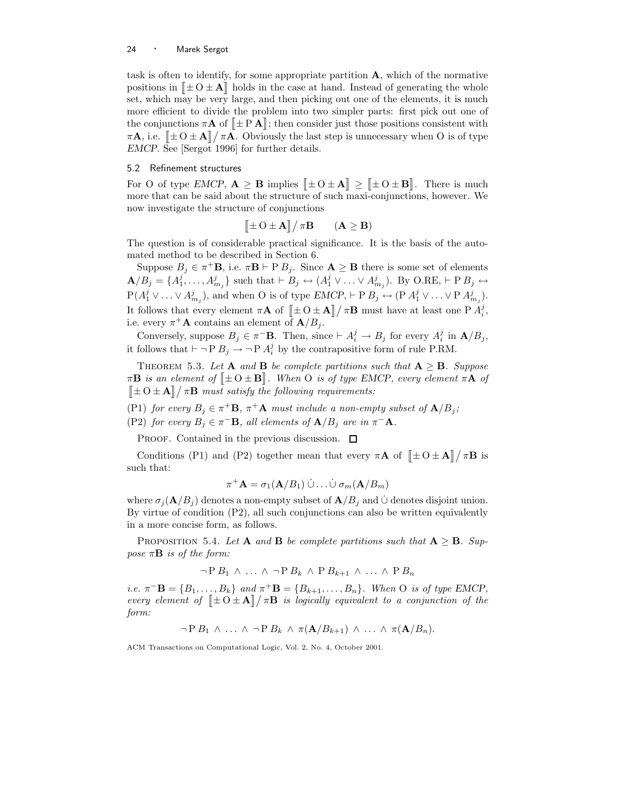task is often to identify, for some appropriate partition  $A$ , which of the normative positions in  $\|\pm O \pm \mathbf{A}\|$  holds in the case at hand. Instead of generating the whole set, which may be very large, and then picking out one of the elements, it is much more efficient to divide the problem into two simpler parts: first pick out one of the conjunctions  $\pi A$  of  $[\pm P \mathbf{A}]$ ; then consider just those positions consistent with  $\pi \mathbf{A}$ , i.e.  $[\pm 0 \pm \mathbf{A}] / \pi \mathbf{A}$ . Obviously the last step is unnecessary when O is of type EMCP. See [Sergot 1996] for further details.

## 5.2 Refinement structures

For O of type EMCP,  $\mathbf{A} \geq \mathbf{B}$  implies  $[\pm 0 \pm \mathbf{A}] \geq [\pm 0 \pm \mathbf{B}]$ . There is much more that can be said about the structure of such maxi-conjunctions, however. We now investigate the structure of conjunctions

$$
[\![\pm O \pm \mathbf{A}]\!]/\pi \mathbf{B} \qquad (\mathbf{A} \ge \mathbf{B})
$$

The question is of considerable practical significance. It is the basis of the automated method to be described in Section 6.

Suppose  $B_j \in \pi^+ \mathbf{B}$ , i.e.  $\pi \mathbf{B} \vdash P B_j$ . Since  $\mathbf{A} \geq \mathbf{B}$  there is some set of elements  $\mathbf{A}/B_j = \{A_1^j, \ldots, A_{m_j}^j\}$  such that  $\vdash B_j \leftrightarrow (A_1^j \vee \ldots \vee A_{m_j}^j)$ . By O.RE,  $\vdash P B_j \leftrightarrow$  $P(A_1^j \vee \ldots \vee A_{m_j}^j)$ , and when O is of type  $EMCP$ ,  $\vdash P B_j \leftrightarrow (P A_1^j \vee \ldots \vee P A_{m_j}^j)$ . It follows that every element  $\pi \mathbf{A}$  of  $[\![\pm \, 0 \pm \mathbf{A}]\!] / \pi \mathbf{B}$  must have at least one P  $A_i^j$ , i.e. every  $\pi^+ \mathbf{A}$  contains an element of  $\mathbf{A}/B_j$ .

Conversely, suppose  $B_j \in \pi^- \mathbf{B}$ . Then, since  $\vdash A_i^j \to B_j$  for every  $A_i^j$  in  $\mathbf{A}/B_j$ , it follows that  $\vdash \neg P B_j \rightarrow \neg P A_i^j$  by the contrapositive form of rule P.RM.

THEOREM 5.3. Let **A** and **B** be complete partitions such that  $A \geq B$ . Suppose  $\pi \mathbf{B}$  is an element of  $[\pm O \pm \mathbf{B}]$ . When O is of type EMCP, every element  $\pi \mathbf{A}$  of  $\left[\pm 0 \pm \mathbf{A}\right] / \pi \mathbf{B}$  must satisfy the following requirements:

(P1) for every  $B_j \in \pi^+ \mathbf{B}$ ,  $\pi^+ \mathbf{A}$  must include a non-empty subset of  $\mathbf{A}/B_j$ ; (P2) for every  $B_j \in \pi^-{\bf B}$ , all elements of  ${\bf A}/B_j$  are in  $\pi^-{\bf A}$ .

PROOF. Contained in the previous discussion.  $\Box$ 

Conditions (P1) and (P2) together mean that every  $\pi \mathbf{A}$  of  $[\pm O \pm \mathbf{A}]/\pi \mathbf{B}$  is such that:

$$
\pi^+ \mathbf{A} = \sigma_1(\mathbf{A}/B_1) \ \dot{\cup} \ldots \dot{\cup} \ \sigma_m(\mathbf{A}/B_m)
$$

where  $\sigma_j(\mathbf{A}/B_j)$  denotes a non-empty subset of  $\mathbf{A}/B_j$  and ∪ denotes disjoint union. By virtue of condition  $(P2)$ , all such conjunctions can also be written equivalently in a more concise form, as follows.

PROPOSITION 5.4. Let **A** and **B** be complete partitions such that  $A \geq B$ . Suppose  $\pi \mathbf{B}$  is of the form:

$$
\neg P B_1 \land \dots \land \neg P B_k \land P B_{k+1} \land \dots \land P B_n
$$

i.e.  $\pi^{-} \mathbf{B} = \{B_1, \ldots, B_k\}$  and  $\pi^{+} \mathbf{B} = \{B_{k+1}, \ldots, B_n\}$ . When O is of type EMCP, every element of  $\|\pm 0 \pm \mathbf{A}\|/\pi\mathbf{B}$  is logically equivalent to a conjunction of the form:

 $\neg P B_1 \wedge \ldots \wedge \neg P B_k \wedge \pi(\mathbf{A}/B_{k+1}) \wedge \ldots \wedge \pi(\mathbf{A}/B_n).$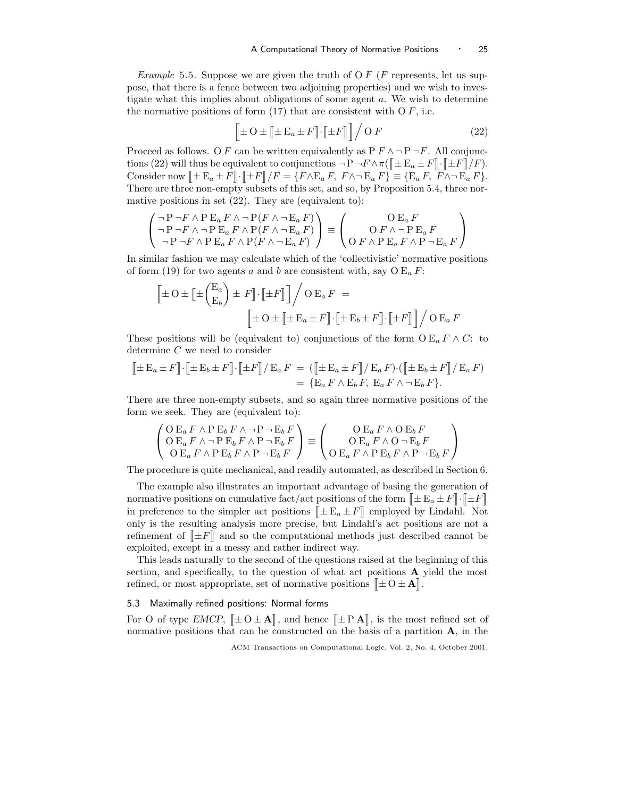*Example* 5.5. Suppose we are given the truth of O  $F$  ( $F$  represents, let us suppose, that there is a fence between two adjoining properties) and we wish to investigate what this implies about obligations of some agent a. We wish to determine the normative positions of form  $(17)$  that are consistent with O F, i.e.

$$
\left[\pm O \pm [\pm E_a \pm F] \cdot [\pm F] \right] / O F \tag{22}
$$

Proceed as follows. O F can be written equivalently as  $P F \wedge \neg P \neg F$ . All conjunctions (22) will thus be equivalent to conjunctions  $\neg P \neg F \wedge \pi(\llbracket \pm \mathcal{E}_a \pm F \rrbracket \cdot \llbracket \pm F \rrbracket / F).$ Consider now  $[\pm E_a \pm F] \cdot [\pm F] / F = \{ F \wedge E_a F, F \wedge \neg E_a F \} = \{ E_a F, F \wedge \neg E_a F \}.$ There are three non-empty subsets of this set, and so, by Proposition 5.4, three normative positions in set (22). They are (equivalent to):

$$
\begin{pmatrix}\n\neg P \neg F \land P E_a F \land \neg P(F \land \neg E_a F) \\
\neg P \neg F \land \neg P E_a F \land P(F \land \neg E_a F) \\
\neg P \neg F \land P E_a F \land P(F \land \neg E_a F)\n\end{pmatrix} \equiv \begin{pmatrix}\n\mathbf{O} E_a F \\
\mathbf{O} F \land \neg P E_a F \\
\mathbf{O} F \land P E_a F \land P \neg E_a F\n\end{pmatrix}
$$

In similar fashion we may calculate which of the 'collectivistic' normative positions of form (19) for two agents a and b are consistent with, say  $O E_a F$ :

$$
\left[\pm O \pm \left[\pm \binom{E_a}{E_b}\right] \pm F\right] \cdot \left[\pm F\right] \right] / O E_a F =
$$
\n
$$
\left[\pm O \pm \left[\pm E_a \pm F\right] \cdot \left[\pm E_b \pm F\right] \cdot \left[\pm F\right] \right] / O E_a F
$$

These positions will be (equivalent to) conjunctions of the form  $O E_a F \wedge C$ : to determine C we need to consider

$$
\[\pm \mathbf{E}_a \pm F\] \cdot \[\pm \mathbf{E}_b \pm F\] \cdot \[\pm F\] / \mathbf{E}_a F = (\[\pm \mathbf{E}_a \pm F\] / \mathbf{E}_a F) \cdot (\[\pm \mathbf{E}_b \pm F\] / \mathbf{E}_a F)
$$
  
= 
$$
\{\mathbf{E}_a F \wedge \mathbf{E}_b F, \ \mathbf{E}_a F \wedge \neg \mathbf{E}_b F\}.
$$

There are three non-empty subsets, and so again three normative positions of the form we seek. They are (equivalent to):

$$
\begin{pmatrix}\nO E_a F \wedge P E_b F \wedge \neg P \neg E_b F \\
O E_a F \wedge \neg P E_b F \wedge P \neg E_b F \\
O E_a F \wedge P E_b F \wedge P \neg E_b F\n\end{pmatrix} \equiv \begin{pmatrix}\nO E_a F \wedge O E_b F \\
O E_a F \wedge O \neg E_b F \\
O E_a F \wedge P E_b F \wedge P \neg E_b F\n\end{pmatrix}
$$

The procedure is quite mechanical, and readily automated, as described in Section 6.

The example also illustrates an important advantage of basing the generation of normative positions on cumulative fact/act positions of the form  $\mathbb{I} \pm \mathbb{E}_a \pm F \cdot \mathbb{I} \pm F$ in preference to the simpler act positions  $[\pm E_a \pm F]$  employed by Lindahl. Not only is the resulting analysis more precise, but Lindahl's act positions are not a refinement of  $\Vert \pm F \Vert$  and so the computational methods just described cannot be exploited, except in a messy and rather indirect way.

This leads naturally to the second of the questions raised at the beginning of this section, and specifically, to the question of what act positions A yield the most refined, or most appropriate, set of normative positions  $[\pm O \pm \mathbf{A}].$ 

## 5.3 Maximally refined positions: Normal forms

For O of type EMCP,  $[\pm O \pm A]$ , and hence  $[\pm P A]$ , is the most refined set of normative positions that can be constructed on the basis of a partition  $A$ , in the

ACM Transactions on Computational Logic, Vol. 2, No. 4, October 2001.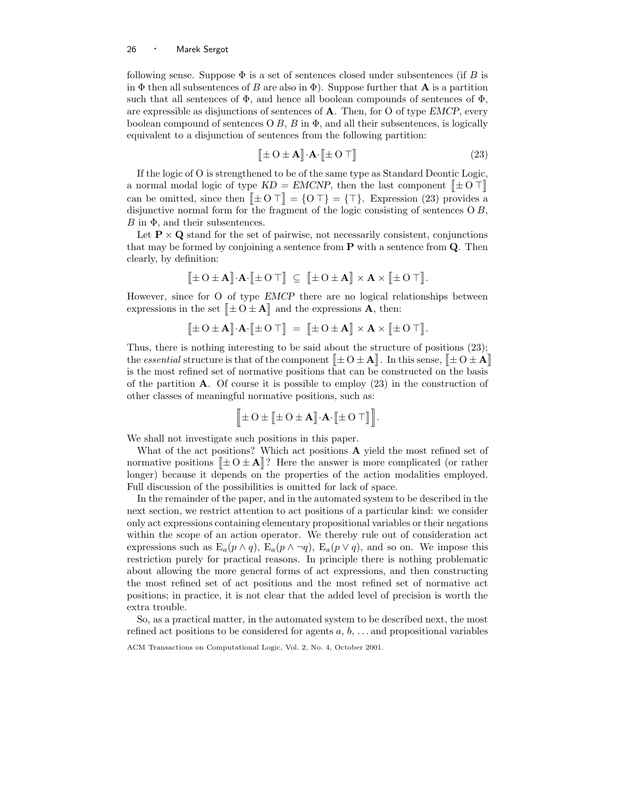following sense. Suppose  $\Phi$  is a set of sentences closed under subsentences (if B is in  $\Phi$  then all subsentences of B are also in  $\Phi$ ). Suppose further that A is a partition such that all sentences of  $\Phi$ , and hence all boolean compounds of sentences of  $\Phi$ , are expressible as disjunctions of sentences of  $A$ . Then, for O of type EMCP, every boolean compound of sentences  $\overline{O}B$ ,  $\overline{B}$  in  $\overline{\Phi}$ , and all their subsentences, is logically equivalent to a disjunction of sentences from the following partition:

$$
\left[\!\left[\pm O \pm \mathbf{A}\right]\!\right]\cdot\!\mathbf{A}\cdot\left[\!\left[\pm O\top\right]\!\right]
$$
\n(23)

If the logic of O is strengthened to be of the same type as Standard Deontic Logic, a normal modal logic of type  $KD = EMCNP$ , then the last component  $[\pm 0 \top]$ can be omitted, since then  $[\pm 0 \top] = \{0 \top\} = {\top}$ . Expression (23) provides a disjunctive normal form for the fragment of the logic consisting of sentences  $\overline{O}B$ ,  $B$  in  $\Phi$ , and their subsentences.

Let  $P \times Q$  stand for the set of pairwise, not necessarily consistent, conjunctions that may be formed by conjoining a sentence from  $P$  with a sentence from  $Q$ . Then clearly, by definition:

$$
\big[\![\pm\operatorname{O}\pm\mathbf{A}]\!]\cdot\!\mathbf{A}\cdot\big[\![\pm\operatorname{O}\top]\!\big]\ \subseteq\ \big[\![\pm\operatorname{O}\pm\mathbf{A}]\!\big]\times\mathbf{A}\times\big[\![\pm\operatorname{O}\top]\!\big].
$$

However, since for O of type EMCP there are no logical relationships between expressions in the set  $[\pm 0 \pm \mathbf{A}]$  and the expressions  $\overrightarrow{\mathbf{A}}$ , then:

$$
\begin{bmatrix} \pm O \pm \mathbf{A} \end{bmatrix} \cdot \mathbf{A} \cdot \begin{bmatrix} \pm O \top \end{bmatrix} \ = \ \begin{bmatrix} \pm O \pm \mathbf{A} \end{bmatrix} \times \mathbf{A} \times \begin{bmatrix} \pm O \top \end{bmatrix}.
$$

Thus, there is nothing interesting to be said about the structure of positions (23); the *essential* structure is that of the component  $[\pm O \pm A]$ . In this sense,  $[\pm O \pm A]$ is the most refined set of normative positions that can be constructed on the basis of the partition  $\bf{A}$ . Of course it is possible to employ (23) in the construction of other classes of meaningful normative positions, such as:

$$
\Big[\!\!\big[\pm\operatorname{O}\pm\big[\!\!\big[\pm\operatorname{O}\pm\mathbf{A}\big]\!\!\big]\!\cdot\!\mathbf{A}\!\cdot\!\big[\!\!\big[\pm\operatorname{O}\top\big]\!\!\big]\Big]\!.\!\!\Big]
$$

We shall not investigate such positions in this paper.

What of the act positions? Which act positions **A** yield the most refined set of normative positions  $[\pm 0 \pm \mathbf{A}]$ ? Here the answer is more complicated (or rather longer) because it depends on the properties of the action modalities employed. Full discussion of the possibilities is omitted for lack of space.

In the remainder of the paper, and in the automated system to be described in the next section, we restrict attention to act positions of a particular kind: we consider only act expressions containing elementary propositional variables or their negations within the scope of an action operator. We thereby rule out of consideration act expressions such as  $E_a(p \wedge q)$ ,  $E_a(p \wedge \neg q)$ ,  $E_a(p \vee q)$ , and so on. We impose this restriction purely for practical reasons. In principle there is nothing problematic about allowing the more general forms of act expressions, and then constructing the most refined set of act positions and the most refined set of normative act positions; in practice, it is not clear that the added level of precision is worth the extra trouble.

So, as a practical matter, in the automated system to be described next, the most refined act positions to be considered for agents  $a, b, \ldots$  and propositional variables

ACM Transactions on Computational Logic, Vol. 2, No. 4, October 2001.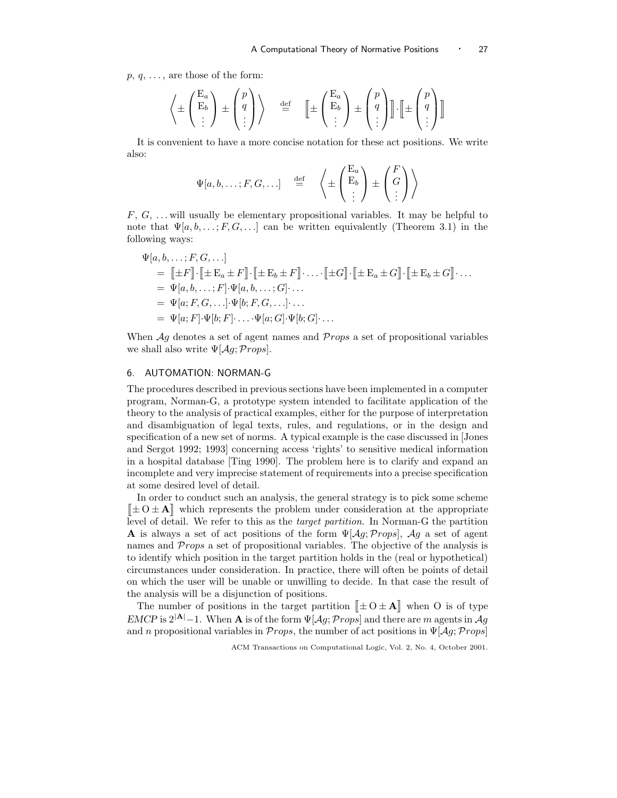$p, q, \ldots$ , are those of the form:

$$
\left\langle \pm \begin{pmatrix} E_a \\ E_b \\ \vdots \end{pmatrix} \pm \begin{pmatrix} p \\ q \\ \vdots \end{pmatrix} \right\rangle \quad \stackrel{\text{def}}{=} \quad \left[ \pm \begin{pmatrix} E_a \\ E_b \\ \vdots \end{pmatrix} \pm \begin{pmatrix} p \\ q \\ \vdots \end{pmatrix} \right] \cdot \left[ \pm \begin{pmatrix} p \\ q \\ \vdots \end{pmatrix} \right]
$$

It is convenient to have a more concise notation for these act positions. We write also:

$$
\Psi[a, b, \dots; F, G, \dots] \stackrel{\text{def}}{=} \left\langle \pm \begin{pmatrix} E_a \\ E_b \\ \vdots \end{pmatrix} \pm \begin{pmatrix} F \\ G \\ \vdots \end{pmatrix} \right\rangle
$$

 $F, G, \ldots$  will usually be elementary propositional variables. It may be helpful to note that  $\Psi[a, b, \ldots; F, G, \ldots]$  can be written equivalently (Theorem 3.1) in the following ways:

$$
\Psi[a, b, \dots; F, G, \dots]
$$
\n
$$
= [\![\pm F]\!] \cdot [\![\pm E_a \pm F]\!] \cdot [\![\pm E_b \pm F]\!] \cdot \dots \cdot [\![\pm G]\!] \cdot [\![\pm E_a \pm G]\!] \cdot [\![\pm E_b \pm G]\!] \cdot \dots
$$
\n
$$
= \Psi[a, b, \dots; F] \cdot \Psi[a, b, \dots; G] \cdot \dots
$$
\n
$$
= \Psi[a; F, G, \dots] \cdot \Psi[b; F, G, \dots] \cdot \dots
$$
\n
$$
= \Psi[a; F] \cdot \Psi[b; F] \cdot \dots \cdot \Psi[a; G] \cdot \Psi[b; G] \cdot \dots
$$

When  $\mathcal{A}g$  denotes a set of agent names and  $\mathcal{P}rops$  a set of propositional variables we shall also write  $\Psi[\mathcal{A}g; Props]$ .

# 6. AUTOMATION: NORMAN-G

The procedures described in previous sections have been implemented in a computer program, Norman-G, a prototype system intended to facilitate application of the theory to the analysis of practical examples, either for the purpose of interpretation and disambiguation of legal texts, rules, and regulations, or in the design and specification of a new set of norms. A typical example is the case discussed in [Jones and Sergot 1992; 1993] concerning access 'rights' to sensitive medical information in a hospital database [Ting 1990]. The problem here is to clarify and expand an incomplete and very imprecise statement of requirements into a precise specification at some desired level of detail.

In order to conduct such an analysis, the general strategy is to pick some scheme  $\llbracket \pm 0 \pm \mathbf{A} \rrbracket$  which represents the problem under consideration at the appropriate level of detail. We refer to this as the target partition. In Norman-G the partition **A** is always a set of act positions of the form  $\Psi[Aq; Props], \mathcal{A}q$  a set of agent names and *Props* a set of propositional variables. The objective of the analysis is to identify which position in the target partition holds in the (real or hypothetical) circumstances under consideration. In practice, there will often be points of detail on which the user will be unable or unwilling to decide. In that case the result of the analysis will be a disjunction of positions.

The number of positions in the target partition  $[\pm O \pm A]$  when O is of type EMCP is  $2^{|{\bf A}|}-1$ . When A is of the form  $\Psi[Ag; Props]$  and there are m agents in  $Ag$ and n propositional variables in Props, the number of act positions in  $\Psi[\mathcal{A}q;Props]$ 

ACM Transactions on Computational Logic, Vol. 2, No. 4, October 2001.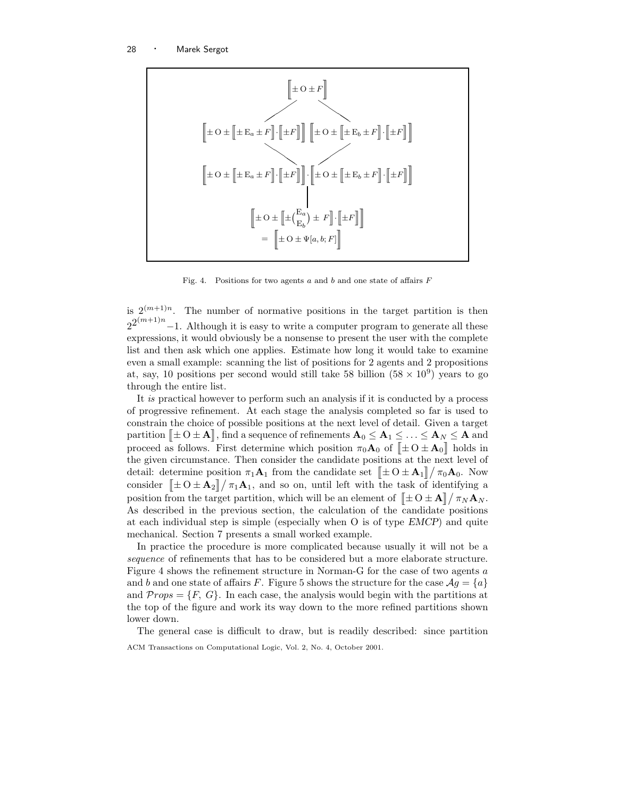

Fig. 4. Positions for two agents  $a$  and  $b$  and one state of affairs  $F$ 

is  $2^{(m+1)n}$ . The number of normative positions in the target partition is then  $2^{2^{(m+1)n}} - 1$ . Although it is easy to write a computer program to generate all these expressions, it would obviously be a nonsense to present the user with the complete list and then ask which one applies. Estimate how long it would take to examine even a small example: scanning the list of positions for 2 agents and 2 propositions at, say, 10 positions per second would still take 58 billion  $(58 \times 10^9)$  years to go through the entire list.

It is practical however to perform such an analysis if it is conducted by a process of progressive refinement. At each stage the analysis completed so far is used to constrain the choice of possible positions at the next level of detail. Given a target partition  $[\![\pm \, 0 \pm A]\!]$ , find a sequence of refinements  $A_0 \leq A_1 \leq \ldots \leq A_N \leq A$  and proceed as follows. First determine which position  $\pi_0 \mathbf{A}_0$  of  $[\pm 0 \pm \mathbf{A}_0]$  holds in the given circumstance. Then consider the candidate positions at the next level of detail: determine position  $\pi_1 \mathbf{A}_1$  from the candidate set  $\left[ \pm \mathrm{O} \pm \mathbf{A}_1 \right] / \pi_0 \mathbf{A}_0$ . Now consider  $[\pm O \pm A_2]/\pi_1A_1$ , and so on, until left with the task of identifying a position from the target partition, which will be an element of  $[\pm O \pm A] / \pi_N A_N$ . As described in the previous section, the calculation of the candidate positions at each individual step is simple (especially when O is of type EMCP) and quite mechanical. Section 7 presents a small worked example.

In practice the procedure is more complicated because usually it will not be a sequence of refinements that has to be considered but a more elaborate structure. Figure 4 shows the refinement structure in Norman-G for the case of two agents a and b and one state of affairs F. Figure 5 shows the structure for the case  $\mathcal{A}g = \{a\}$ and  $\mathcal{P}rops = \{F, G\}$ . In each case, the analysis would begin with the partitions at the top of the figure and work its way down to the more refined partitions shown lower down.

The general case is difficult to draw, but is readily described: since partition ACM Transactions on Computational Logic, Vol. 2, No. 4, October 2001.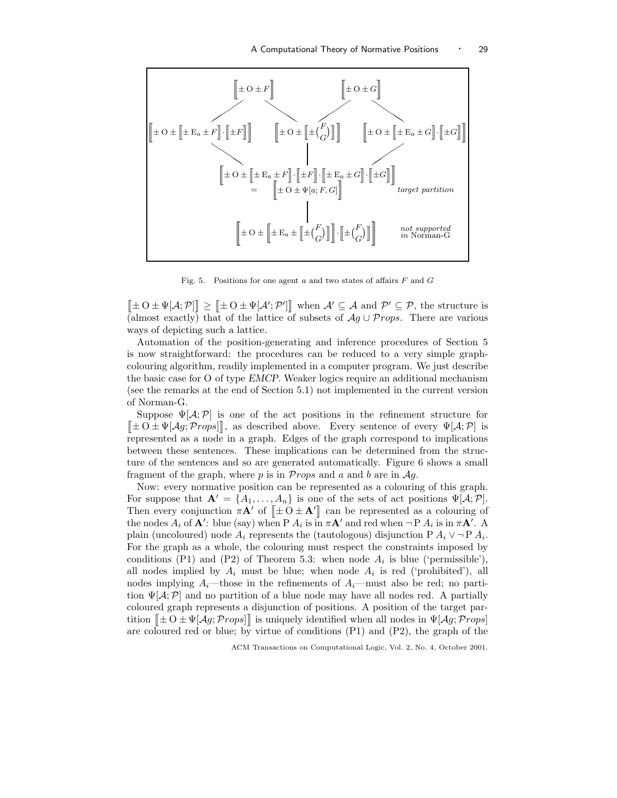

Fig. 5. Positions for one agent  $a$  and two states of affairs  $F$  and  $G$ 

 $[\![\pm 0 \pm \Psi[\mathcal{A}; \mathcal{P}]\!] \geq [\![\pm 0 \pm \Psi[\mathcal{A}'; \mathcal{P}']\!]$  when  $\mathcal{A}' \subseteq \mathcal{A}$  and  $\mathcal{P}' \subseteq \mathcal{P}$ , the structure is (almost exactly) that of the lattice of subsets of  $Ag \cup Props$ . There are various ways of depicting such a lattice.

Automation of the position-generating and inference procedures of Section 5 is now straightforward: the procedures can be reduced to a very simple graphcolouring algorithm, readily implemented in a computer program. We just describe the basic case for O of type EMCP. Weaker logics require an additional mechanism (see the remarks at the end of Section 5.1) not implemented in the current version of Norman-G.

Suppose  $\Psi[A;P]$  is one of the act positions in the refinement structure for  $[\pm O \pm \Psi[\mathcal{A}_g; Props]]$ , as described above. Every sentence of every  $\Psi[\mathcal{A}; \mathcal{P}]$  is represented as a node in a graph. Edges of the graph correspond to implications between these sentences. These implications can be determined from the structure of the sentences and so are generated automatically. Figure 6 shows a small fragment of the graph, where  $p$  is in Props and  $a$  and  $b$  are in Ag.

Now: every normative position can be represented as a colouring of this graph. For suppose that  $\mathbf{A}' = \{A_1, \ldots, A_n\}$  is one of the sets of act positions  $\Psi[\mathcal{A}; \mathcal{P}].$ Then every conjunction  $\pi \mathbf{A}'$  of  $[\pm 0 \pm \mathbf{A}']$  can be represented as a colouring of the nodes  $A_i$  of  $\mathbf{A}'$ : blue (say) when P  $A_i$  is  $\overline{\text{in}} \pi \mathbf{A}'$  and red when  $\neg P A_i$  is  $\overline{\text{in}} \pi \mathbf{A}'$ . A plain (uncoloured) node  $A_i$  represents the (tautologous) disjunction P  $A_i \vee \neg P A_i$ . For the graph as a whole, the colouring must respect the constraints imposed by conditions (P1) and (P2) of Theorem 5.3: when node  $A_i$  is blue ('permissible'), all nodes implied by  $A_i$  must be blue; when node  $A_i$  is red ('prohibited'), all nodes implying  $A_i$ —those in the refinements of  $A_i$ —must also be red; no partition  $\Psi[A;P]$  and no partition of a blue node may have all nodes red. A partially coloured graph represents a disjunction of positions. A position of the target partition  $[\pm O \pm \Psi[Ag; Props]]$  is uniquely identified when all nodes in  $\Psi[Ag; Props]$ are coloured red or blue; by virtue of conditions  $(P1)$  and  $(P2)$ , the graph of the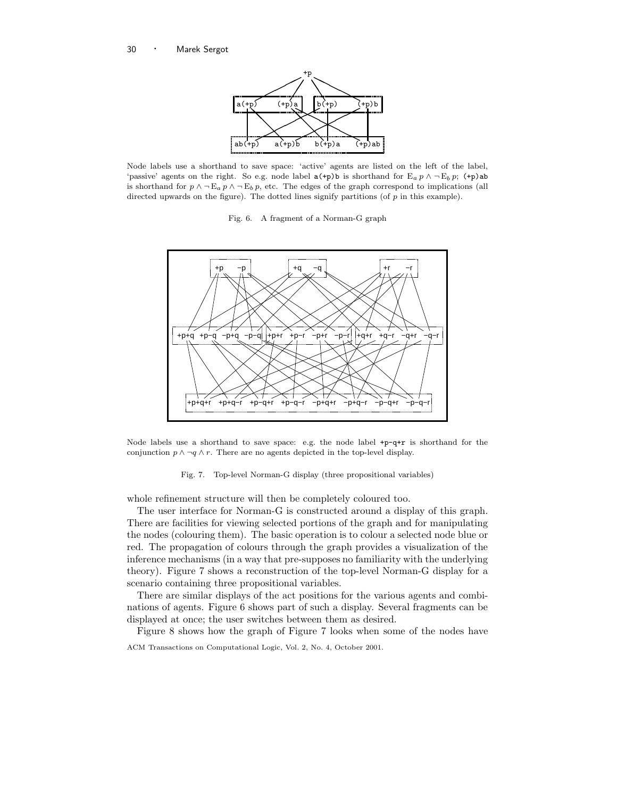

Node labels use a shorthand to save space: 'active' agents are listed on the left of the label, 'passive' agents on the right. So e.g. node label  $a(+p)b$  is shorthand for  $E_a p \wedge \neg E_b p$ ;  $(+p)ab$ is shorthand for  $p \wedge \neg E_a p \wedge \neg E_b p$ , etc. The edges of the graph correspond to implications (all directed upwards on the figure). The dotted lines signify partitions (of  $p$  in this example).

Fig. 6. A fragment of a Norman-G graph



Node labels use a shorthand to save space: e.g. the node label +p-q+r is shorthand for the conjunction  $p \wedge \neg q \wedge r$ . There are no agents depicted in the top-level display.

Fig. 7. Top-level Norman-G display (three propositional variables)

whole refinement structure will then be completely coloured too.

The user interface for Norman-G is constructed around a display of this graph. There are facilities for viewing selected portions of the graph and for manipulating the nodes (colouring them). The basic operation is to colour a selected node blue or red. The propagation of colours through the graph provides a visualization of the inference mechanisms (in a way that pre-supposes no familiarity with the underlying theory). Figure 7 shows a reconstruction of the top-level Norman-G display for a scenario containing three propositional variables.

There are similar displays of the act positions for the various agents and combinations of agents. Figure 6 shows part of such a display. Several fragments can be displayed at once; the user switches between them as desired.

Figure 8 shows how the graph of Figure 7 looks when some of the nodes have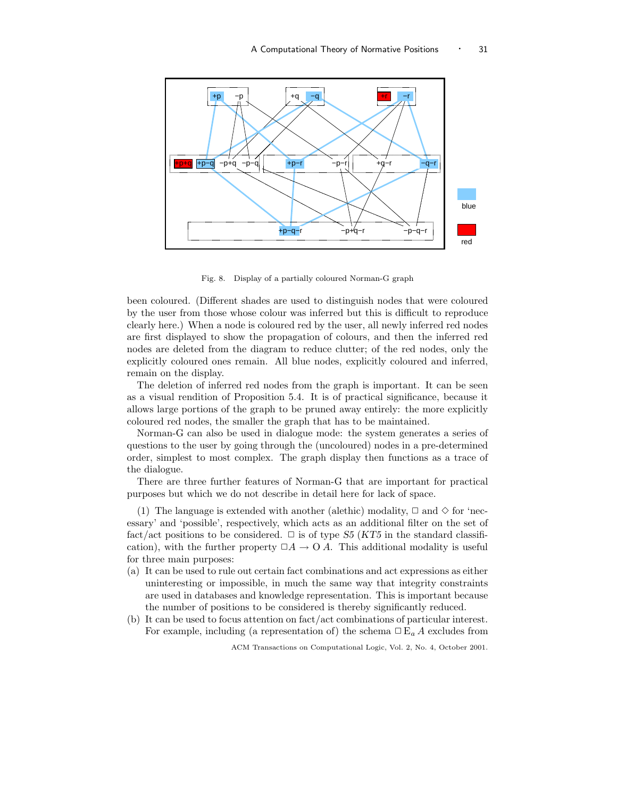

Fig. 8. Display of a partially coloured Norman-G graph

been coloured. (Different shades are used to distinguish nodes that were coloured by the user from those whose colour was inferred but this is difficult to reproduce clearly here.) When a node is coloured red by the user, all newly inferred red nodes are first displayed to show the propagation of colours, and then the inferred red nodes are deleted from the diagram to reduce clutter; of the red nodes, only the explicitly coloured ones remain. All blue nodes, explicitly coloured and inferred, remain on the display.

The deletion of inferred red nodes from the graph is important. It can be seen as a visual rendition of Proposition 5.4. It is of practical significance, because it allows large portions of the graph to be pruned away entirely: the more explicitly coloured red nodes, the smaller the graph that has to be maintained.

Norman-G can also be used in dialogue mode: the system generates a series of questions to the user by going through the (uncoloured) nodes in a pre-determined order, simplest to most complex. The graph display then functions as a trace of the dialogue.

There are three further features of Norman-G that are important for practical purposes but which we do not describe in detail here for lack of space.

(1) The language is extended with another (alethic) modality,  $\Box$  and  $\diamond$  for 'necessary' and 'possible', respectively, which acts as an additional filter on the set of fact/act positions to be considered.  $\Box$  is of type S5 (KT5 in the standard classification), with the further property  $\Box A \rightarrow O \overline{A}$ . This additional modality is useful for three main purposes:

- (a) It can be used to rule out certain fact combinations and act expressions as either uninteresting or impossible, in much the same way that integrity constraints are used in databases and knowledge representation. This is important because the number of positions to be considered is thereby significantly reduced.
- (b) It can be used to focus attention on fact/act combinations of particular interest. For example, including (a representation of) the schema  $\Box E_a A$  excludes from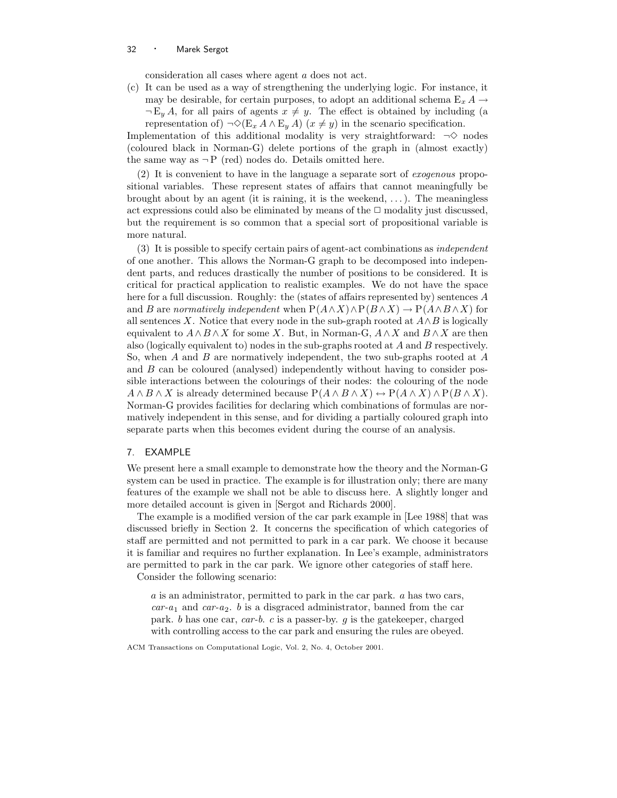consideration all cases where agent a does not act.

(c) It can be used as a way of strengthening the underlying logic. For instance, it may be desirable, for certain purposes, to adopt an additional schema  $E_x A \rightarrow$  $\neg E_y A$ , for all pairs of agents  $x \neq y$ . The effect is obtained by including (a representation of)  $\neg \Diamond (E_x A \land E_y A)$  ( $x \neq y$ ) in the scenario specification.

Implementation of this additional modality is very straightforward:  $\neg \Diamond$  nodes (coloured black in Norman-G) delete portions of the graph in (almost exactly) the same way as  $\neg P$  (red) nodes do. Details omitted here.

(2) It is convenient to have in the language a separate sort of exogenous propositional variables. These represent states of affairs that cannot meaningfully be brought about by an agent (it is raining, it is the weekend,  $\dots$ ). The meaningless act expressions could also be eliminated by means of the  $\Box$  modality just discussed, but the requirement is so common that a special sort of propositional variable is more natural.

(3) It is possible to specify certain pairs of agent-act combinations as independent of one another. This allows the Norman-G graph to be decomposed into independent parts, and reduces drastically the number of positions to be considered. It is critical for practical application to realistic examples. We do not have the space here for a full discussion. Roughly: the (states of affairs represented by) sentences A and B are normatively independent when  $P(A \wedge X) \wedge P(B \wedge X) \rightarrow P(A \wedge B \wedge X)$  for all sentences X. Notice that every node in the sub-graph rooted at  $A \wedge B$  is logically equivalent to  $A \wedge B \wedge X$  for some X. But, in Norman-G,  $A \wedge X$  and  $B \wedge X$  are then also (logically equivalent to) nodes in the sub-graphs rooted at A and B respectively. So, when  $A$  and  $B$  are normatively independent, the two sub-graphs rooted at  $A$ and B can be coloured (analysed) independently without having to consider possible interactions between the colourings of their nodes: the colouring of the node  $A \wedge B \wedge X$  is already determined because  $P(A \wedge B \wedge X) \leftrightarrow P(A \wedge X) \wedge P(B \wedge X)$ . Norman-G provides facilities for declaring which combinations of formulas are normatively independent in this sense, and for dividing a partially coloured graph into separate parts when this becomes evident during the course of an analysis.

# 7. EXAMPLE

We present here a small example to demonstrate how the theory and the Norman-G system can be used in practice. The example is for illustration only; there are many features of the example we shall not be able to discuss here. A slightly longer and more detailed account is given in [Sergot and Richards 2000].

The example is a modified version of the car park example in [Lee 1988] that was discussed briefly in Section 2. It concerns the specification of which categories of staff are permitted and not permitted to park in a car park. We choose it because it is familiar and requires no further explanation. In Lee's example, administrators are permitted to park in the car park. We ignore other categories of staff here.

Consider the following scenario:

a is an administrator, permitted to park in the car park. a has two cars,  $car-a_1$  and  $car-a_2$ . b is a disgraced administrator, banned from the car park. b has one car, car-b. c is a passer-by. g is the gatekeeper, charged with controlling access to the car park and ensuring the rules are obeyed.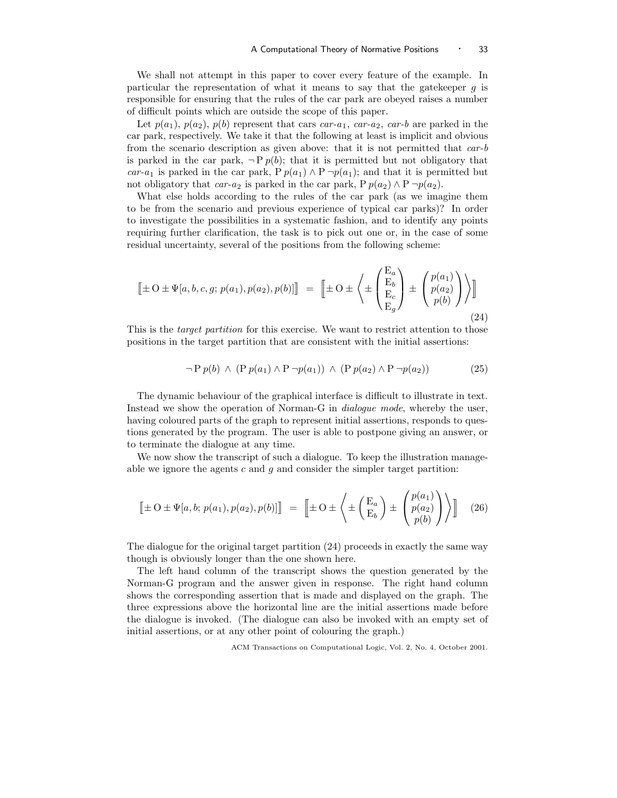We shall not attempt in this paper to cover every feature of the example. In particular the representation of what it means to say that the gatekeeper  $q$  is responsible for ensuring that the rules of the car park are obeyed raises a number of difficult points which are outside the scope of this paper.

Let  $p(a_1)$ ,  $p(a_2)$ ,  $p(b)$  represent that cars car-a<sub>1</sub>, car-a<sub>2</sub>, car-b are parked in the car park, respectively. We take it that the following at least is implicit and obvious from the scenario description as given above: that it is not permitted that  $car-b$ is parked in the car park,  $\neg P p(b)$ ; that it is permitted but not obligatory that car-a<sub>1</sub> is parked in the car park, P  $p(a_1) \wedge P \neg p(a_1)$ ; and that it is permitted but not obligatory that car-a<sub>2</sub> is parked in the car park, P  $p(a_2) \wedge P \neg p(a_2)$ .

What else holds according to the rules of the car park (as we imagine them to be from the scenario and previous experience of typical car parks)? In order to investigate the possibilities in a systematic fashion, and to identify any points requiring further clarification, the task is to pick out one or, in the case of some residual uncertainty, several of the positions from the following scheme:

$$
\left[\pm O \pm \Psi[a, b, c, g; p(a_1), p(a_2), p(b)]\right] = \left[\pm O \pm \left\langle \pm \begin{pmatrix} E_a \\ E_b \\ E_c \\ E_g \end{pmatrix} \pm \begin{pmatrix} p(a_1) \\ p(a_2) \\ p(b) \end{pmatrix} \right\rangle\right]
$$
\n(24)

This is the *target partition* for this exercise. We want to restrict attention to those positions in the target partition that are consistent with the initial assertions:

$$
\neg P p(b) \land (P p(a_1) \land P \neg p(a_1)) \land (P p(a_2) \land P \neg p(a_2)) \tag{25}
$$

The dynamic behaviour of the graphical interface is difficult to illustrate in text. Instead we show the operation of Norman-G in dialogue mode, whereby the user, having coloured parts of the graph to represent initial assertions, responds to questions generated by the program. The user is able to postpone giving an answer, or to terminate the dialogue at any time.

We now show the transcript of such a dialogue. To keep the illustration manageable we ignore the agents  $c$  and  $g$  and consider the simpler target partition:

$$
\left[\pm O \pm \Psi[a, b; p(a_1), p(a_2), p(b)]\right] = \left[\pm O \pm \left\langle \pm \left(\frac{E_a}{E_b}\right) \pm \left(\frac{p(a_1)}{p(a_2)}\right) \right\rangle\right] \tag{26}
$$

The dialogue for the original target partition (24) proceeds in exactly the same way though is obviously longer than the one shown here.

The left hand column of the transcript shows the question generated by the Norman-G program and the answer given in response. The right hand column shows the corresponding assertion that is made and displayed on the graph. The three expressions above the horizontal line are the initial assertions made before the dialogue is invoked. (The dialogue can also be invoked with an empty set of initial assertions, or at any other point of colouring the graph.)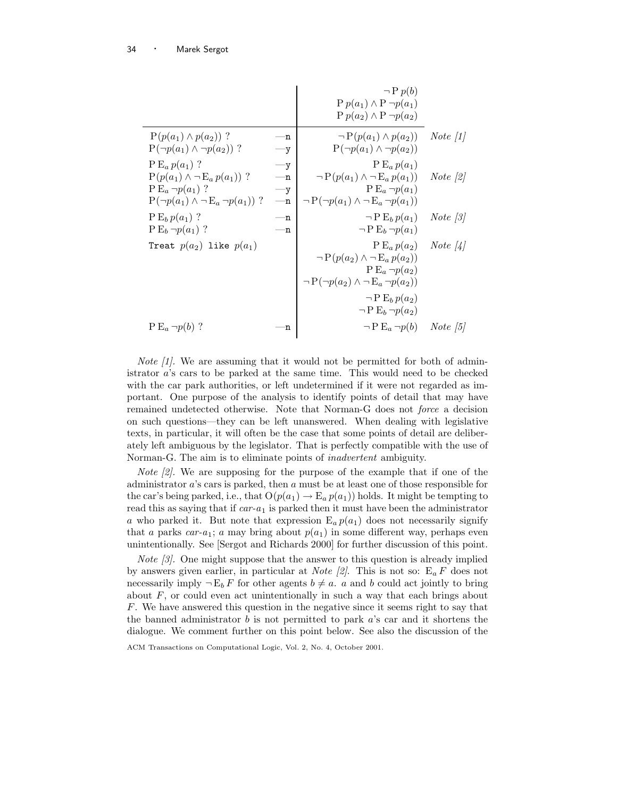|                                                                                                                                    |                                        | $\neg P p(b)$<br>$P p(a_1) \wedge P \neg p(a_1)$<br>$P p(a_2) \wedge P \neg p(a_2)$                                                  |                    |
|------------------------------------------------------------------------------------------------------------------------------------|----------------------------------------|--------------------------------------------------------------------------------------------------------------------------------------|--------------------|
| $P(p(a_1) \wedge p(a_2))$ ?<br>$P(\neg p(a_1) \land \neg p(a_2))$ ?                                                                | —n<br>$-y$                             | $\neg P(p(a_1) \wedge p(a_2))$<br>$P(\neg p(a_1) \land \neg p(a_2))$                                                                 | <i>Note</i> $ 1 $  |
| $P E_a p(a_1)$ ?<br>$P(p(a_1) \wedge \neg E_a p(a_1))$ ?<br>$P E_a \neg p(a_1)$ ?<br>$P(\neg p(a_1) \land \neg E_a \neg p(a_1))$ ? | $-y$<br>$-$ n<br>$-y$<br>$-\mathbf{n}$ | $P E_a p(a_1)$<br>$\neg P(p(a_1) \wedge \neg E_a p(a_1))$<br>$P E_a \neg p(a_1)$<br>$\neg P(\neg p(a_1) \land \neg E_a \neg p(a_1))$ | <i>Note</i> $ 2 $  |
| $P E_b p(a_1)$ ?<br>$P E_b \neg p(a_1)$ ?                                                                                          | —n<br>'n                               | $\neg P E_b p(a_1)$<br>$\neg P E_b \neg p(a_1)$                                                                                      | <i>Note</i> $ 3 $  |
| Treat $p(a_2)$ like $p(a_1)$                                                                                                       |                                        | $P E_a p(a_2)$<br>$\neg P(p(a_2) \wedge \neg E_a p(a_2))$<br>$P E_a \neg p(a_2)$<br>$\neg P(\neg p(a_2) \land \neg E_a \neg p(a_2))$ | Note $\frac{1}{4}$ |
|                                                                                                                                    |                                        | $\neg P E_h p(a_2)$<br>$\neg P E_b \neg p(a_2)$                                                                                      |                    |
| $P E_a \neg p(b)$ ?                                                                                                                | n                                      | $\neg P E_a \neg p(b)$ Note [5]                                                                                                      |                    |

*Note*  $\left|1\right|$ . We are assuming that it would not be permitted for both of administrator a's cars to be parked at the same time. This would need to be checked with the car park authorities, or left undetermined if it were not regarded as important. One purpose of the analysis to identify points of detail that may have remained undetected otherwise. Note that Norman-G does not force a decision on such questions—they can be left unanswered. When dealing with legislative texts, in particular, it will often be the case that some points of detail are deliberately left ambiguous by the legislator. That is perfectly compatible with the use of Norman-G. The aim is to eliminate points of inadvertent ambiguity.

Note [2]. We are supposing for the purpose of the example that if one of the administrator  $a$ 's cars is parked, then  $a$  must be at least one of those responsible for the car's being parked, i.e., that  $O(p(a_1) \to E_a p(a_1))$  holds. It might be tempting to read this as saying that if  $car-a_1$  is parked then it must have been the administrator a who parked it. But note that expression  $E_a p(a_1)$  does not necessarily signify that a parks car-a<sub>1</sub>; a may bring about  $p(a_1)$  in some different way, perhaps even unintentionally. See [Sergot and Richards 2000] for further discussion of this point.

Note [3]. One might suppose that the answer to this question is already implied by answers given earlier, in particular at *Note* [2]. This is not so:  $E_a F$  does not necessarily imply  $\neg E_b F$  for other agents  $b \neq a$ . a and b could act jointly to bring about  $F$ , or could even act unintentionally in such a way that each brings about F. We have answered this question in the negative since it seems right to say that the banned administrator  $b$  is not permitted to park  $a$ 's car and it shortens the dialogue. We comment further on this point below. See also the discussion of the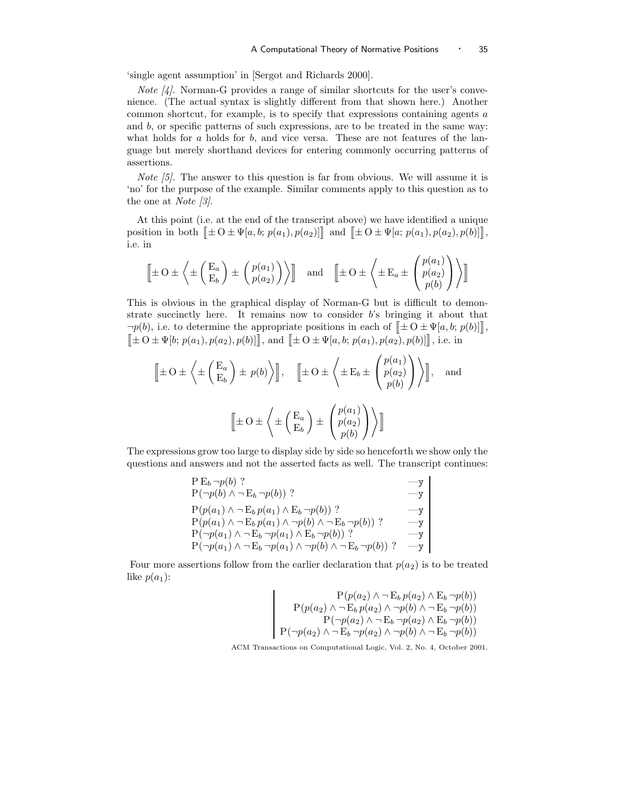'single agent assumption' in [Sergot and Richards 2000].

*Note*  $\vert 4 \vert$ . Norman-G provides a range of similar shortcuts for the user's convenience. (The actual syntax is slightly different from that shown here.) Another common shortcut, for example, is to specify that expressions containing agents a and  $b$ , or specific patterns of such expressions, are to be treated in the same way: what holds for  $a$  holds for  $b$ , and vice versa. These are not features of the language but merely shorthand devices for entering commonly occurring patterns of assertions.

Note [5]. The answer to this question is far from obvious. We will assume it is 'no' for the purpose of the example. Similar comments apply to this question as to the one at Note [3].

At this point (i.e. at the end of the transcript above) we have identified a unique position in both  $[\pm O \pm \Psi[a, b; p(a_1), p(a_2)]]$  and  $[\pm O \pm \Psi[a; p(a_1), p(a_2), p(b)]]$ , i.e. in

$$
\left[\pm O \pm \left\langle \pm \left(\frac{E_a}{E_b}\right) \pm \left(\frac{p(a_1)}{p(a_2)}\right) \right\rangle\right] \quad \text{and} \quad \left[\pm O \pm \left\langle \pm E_a \pm \left(\frac{p(a_1)}{p(a_2)}\right) \right\rangle\right]
$$

This is obvious in the graphical display of Norman-G but is difficult to demonstrate succinctly here. It remains now to consider b's bringing it about that  $\neg p(b)$ , i.e. to determine the appropriate positions in each of  $\mathbb{I} \oplus \mathbb{I} \oplus \mathbb{I} \Psi[a, b; p(b)]$ ,  $[\![\pm O \pm \Psi[b; p(a_1), p(a_2), p(b)]\!]$ , and  $[\![\pm O \pm \Psi[a, b; p(a_1), p(a_2), p(b)]\!]$ , i.e. in

$$
\left[\pm O \pm \left\langle \pm \left(\frac{E_a}{E_b}\right) \pm p(b) \right\rangle\right], \quad \left[\pm O \pm \left\langle \pm E_b \pm \left(\frac{p(a_1)}{p(a_2)}\right) \right\rangle\right], \text{ and}
$$

$$
\left[\pm O \pm \left\langle \pm \left(\frac{E_a}{E_b}\right) \pm \left(\frac{p(a_1)}{p(a_2)}\right) \right\rangle\right]
$$

The expressions grow too large to display side by side so henceforth we show only the questions and answers and not the asserted facts as well. The transcript continues:

$$
\begin{array}{ll}\nP \to_{b} \neg p(b) & \longrightarrow \\
P(\neg p(b) \land \neg \to_{b} \neg p(b)) & ? & \longrightarrow \\
P(p(a_{1}) \land \neg \to_{b} p(a_{1}) \land \to_{b} \neg p(b)) & ? & \longrightarrow \\
P(p(a_{1}) \land \neg \to_{b} p(a_{1}) \land \neg p(b) \land \neg \to_{b} \neg p(b)) & ? & \longrightarrow \\
P(\neg p(a_{1}) \land \neg \to_{b} \neg p(a_{1}) \land \to_{b} \neg p(b)) & ? & \longrightarrow \\
P(\neg p(a_{1}) \land \neg \to_{b} \neg p(a_{1}) \land \neg p(b) \land \neg \to_{b} \neg p(b)) & ? & \longrightarrow \\
P(\neg p(a_{1}) \land \neg \to_{b} \neg p(a_{1}) \land \neg p(b) \land \neg \to_{b} \neg p(b)) & ? & \longrightarrow\n\end{array}
$$

Four more assertions follow from the earlier declaration that  $p(a_2)$  is to be treated like  $p(a_1)$ :

$$
\begin{array}{c}\nP(p(a_2) \land \neg E_b p(a_2) \land E_b \neg p(b)) \\
P(p(a_2) \land \neg E_b p(a_2) \land \neg p(b) \land \neg E_b \neg p(b)) \\
P(\neg p(a_2) \land \neg E_b \neg p(a_2) \land E_b \neg p(b)) \\
P(\neg p(a_2) \land \neg E_b \neg p(a_2) \land \neg p(b) \land \neg E_b \neg p(b))\n\end{array}
$$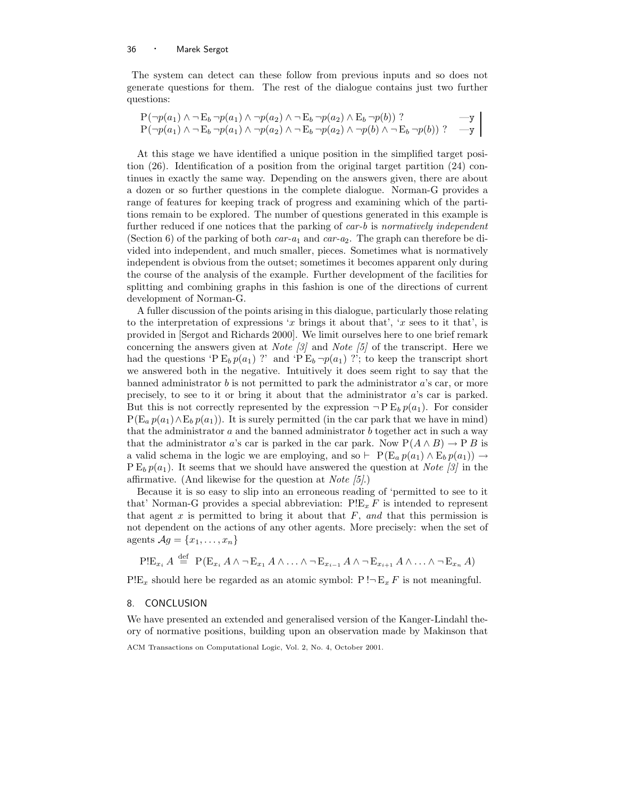The system can detect can these follow from previous inputs and so does not generate questions for them. The rest of the dialogue contains just two further questions:

$$
\begin{array}{ll}\nP(\neg p(a_1) \land \neg E_b \neg p(a_1) \land \neg p(a_2) \land \neg E_b \neg p(a_2) \land E_b \neg p(b)) \\
? & \longrightarrow \nP(\neg p(a_1) \land \neg E_b \neg p(a_1) \land \neg p(a_2) \land \neg E_b \neg p(a_2) \land \neg p(b) \land \neg E_b \neg p(b)) \\
? & \longrightarrow \n\end{array}
$$

At this stage we have identified a unique position in the simplified target position (26). Identification of a position from the original target partition (24) continues in exactly the same way. Depending on the answers given, there are about a dozen or so further questions in the complete dialogue. Norman-G provides a range of features for keeping track of progress and examining which of the partitions remain to be explored. The number of questions generated in this example is further reduced if one notices that the parking of  $car-b$  is normatively independent (Section 6) of the parking of both  $car-a_1$  and  $car-a_2$ . The graph can therefore be divided into independent, and much smaller, pieces. Sometimes what is normatively independent is obvious from the outset; sometimes it becomes apparent only during the course of the analysis of the example. Further development of the facilities for splitting and combining graphs in this fashion is one of the directions of current development of Norman-G.

A fuller discussion of the points arising in this dialogue, particularly those relating to the interpretation of expressions 'x brings it about that', 'x sees to it that', is provided in [Sergot and Richards 2000]. We limit ourselves here to one brief remark concerning the answers given at *Note* [3] and *Note* [5] of the transcript. Here we had the questions 'P  $E_b p(a_1)$  ?' and 'P  $E_b \neg p(a_1)$  ?'; to keep the transcript short we answered both in the negative. Intuitively it does seem right to say that the banned administrator  $b$  is not permitted to park the administrator  $a$ 's car, or more precisely, to see to it or bring it about that the administrator a's car is parked. But this is not correctly represented by the expression  $\neg P E_b p(a_1)$ . For consider  $P(E_a p(a_1) \wedge E_b p(a_1))$ . It is surely permitted (in the car park that we have in mind) that the administrator  $a$  and the banned administrator  $b$  together act in such a way that the administrator a's car is parked in the car park. Now  $P(A \wedge B) \rightarrow P B$  is a valid schema in the logic we are employing, and so  $\vdash P(E_a p(a_1) \wedge E_b p(a_1)) \rightarrow$  $P E_b p(a_1)$ . It seems that we should have answered the question at Note [3] in the affirmative. (And likewise for the question at *Note*  $(5)$ .)

Because it is so easy to slip into an erroneous reading of 'permitted to see to it that' Norman-G provides a special abbreviation:  $P!E_x F$  is intended to represent that agent x is permitted to bring it about that  $F$ , and that this permission is not dependent on the actions of any other agents. More precisely: when the set of agents  $\mathcal{A}g = \{x_1, \ldots, x_n\}$ 

$$
\text{PIE}_{x_i} A \stackrel{\text{def}}{=} \text{P}(E_{x_i} A \wedge \neg E_{x_1} A \wedge \dots \wedge \neg E_{x_{i-1}} A \wedge \neg E_{x_{i+1}} A \wedge \dots \wedge \neg E_{x_n} A)
$$

 $P!E_x$  should here be regarded as an atomic symbol:  $P!E_x F$  is not meaningful.

## 8. CONCLUSION

We have presented an extended and generalised version of the Kanger-Lindahl theory of normative positions, building upon an observation made by Makinson that

ACM Transactions on Computational Logic, Vol. 2, No. 4, October 2001.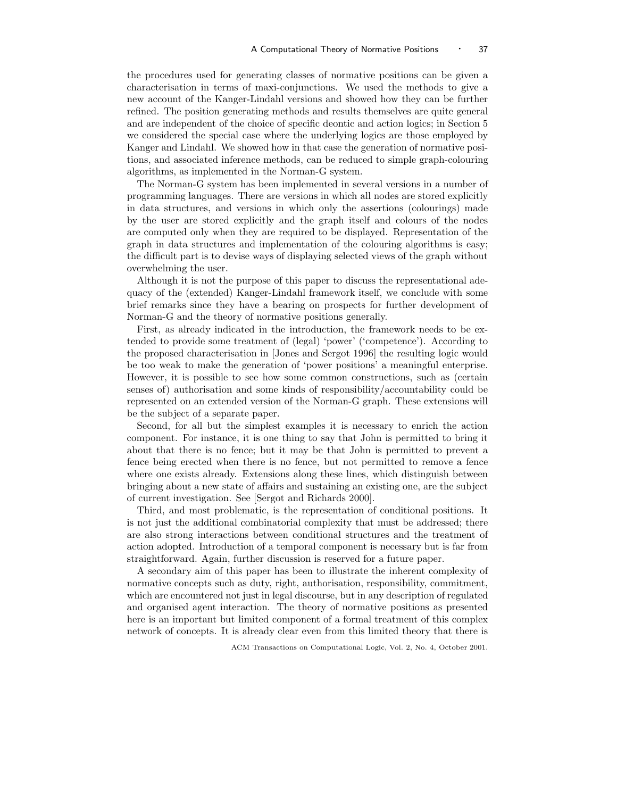the procedures used for generating classes of normative positions can be given a characterisation in terms of maxi-conjunctions. We used the methods to give a new account of the Kanger-Lindahl versions and showed how they can be further refined. The position generating methods and results themselves are quite general and are independent of the choice of specific deontic and action logics; in Section 5 we considered the special case where the underlying logics are those employed by Kanger and Lindahl. We showed how in that case the generation of normative positions, and associated inference methods, can be reduced to simple graph-colouring algorithms, as implemented in the Norman-G system.

The Norman-G system has been implemented in several versions in a number of programming languages. There are versions in which all nodes are stored explicitly in data structures, and versions in which only the assertions (colourings) made by the user are stored explicitly and the graph itself and colours of the nodes are computed only when they are required to be displayed. Representation of the graph in data structures and implementation of the colouring algorithms is easy; the difficult part is to devise ways of displaying selected views of the graph without overwhelming the user.

Although it is not the purpose of this paper to discuss the representational adequacy of the (extended) Kanger-Lindahl framework itself, we conclude with some brief remarks since they have a bearing on prospects for further development of Norman-G and the theory of normative positions generally.

First, as already indicated in the introduction, the framework needs to be extended to provide some treatment of (legal) 'power' ('competence'). According to the proposed characterisation in [Jones and Sergot 1996] the resulting logic would be too weak to make the generation of 'power positions' a meaningful enterprise. However, it is possible to see how some common constructions, such as (certain senses of) authorisation and some kinds of responsibility/accountability could be represented on an extended version of the Norman-G graph. These extensions will be the subject of a separate paper.

Second, for all but the simplest examples it is necessary to enrich the action component. For instance, it is one thing to say that John is permitted to bring it about that there is no fence; but it may be that John is permitted to prevent a fence being erected when there is no fence, but not permitted to remove a fence where one exists already. Extensions along these lines, which distinguish between bringing about a new state of affairs and sustaining an existing one, are the subject of current investigation. See [Sergot and Richards 2000].

Third, and most problematic, is the representation of conditional positions. It is not just the additional combinatorial complexity that must be addressed; there are also strong interactions between conditional structures and the treatment of action adopted. Introduction of a temporal component is necessary but is far from straightforward. Again, further discussion is reserved for a future paper.

A secondary aim of this paper has been to illustrate the inherent complexity of normative concepts such as duty, right, authorisation, responsibility, commitment, which are encountered not just in legal discourse, but in any description of regulated and organised agent interaction. The theory of normative positions as presented here is an important but limited component of a formal treatment of this complex network of concepts. It is already clear even from this limited theory that there is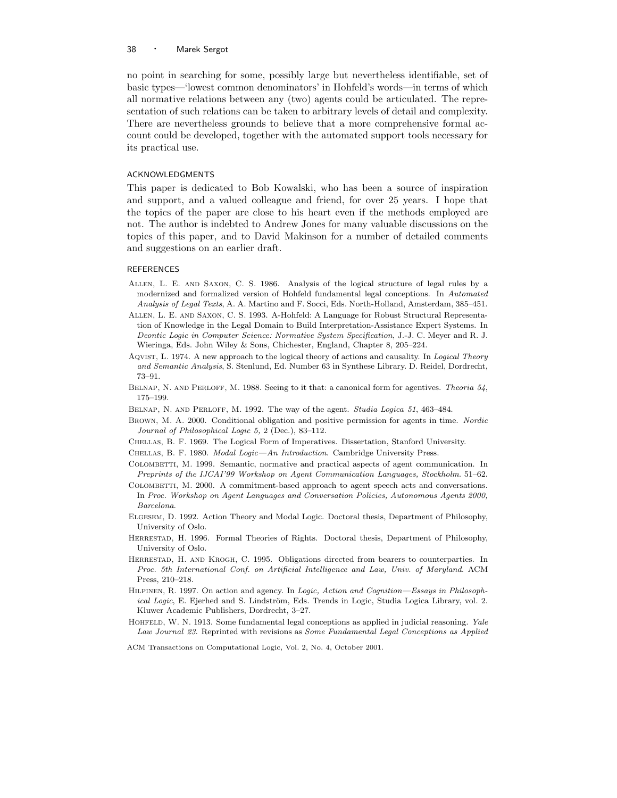no point in searching for some, possibly large but nevertheless identifiable, set of basic types—'lowest common denominators' in Hohfeld's words—in terms of which all normative relations between any (two) agents could be articulated. The representation of such relations can be taken to arbitrary levels of detail and complexity. There are nevertheless grounds to believe that a more comprehensive formal account could be developed, together with the automated support tools necessary for its practical use.

#### ACKNOWLEDGMENTS

This paper is dedicated to Bob Kowalski, who has been a source of inspiration and support, and a valued colleague and friend, for over 25 years. I hope that the topics of the paper are close to his heart even if the methods employed are not. The author is indebted to Andrew Jones for many valuable discussions on the topics of this paper, and to David Makinson for a number of detailed comments and suggestions on an earlier draft.

#### **REFERENCES**

- Allen, L. E. and Saxon, C. S. 1986. Analysis of the logical structure of legal rules by a modernized and formalized version of Hohfeld fundamental legal conceptions. In Automated Analysis of Legal Texts, A. A. Martino and F. Socci, Eds. North-Holland, Amsterdam, 385–451.
- Allen, L. E. and Saxon, C. S. 1993. A-Hohfeld: A Language for Robust Structural Representation of Knowledge in the Legal Domain to Build Interpretation-Assistance Expert Systems. In Deontic Logic in Computer Science: Normative System Specification, J.-J. C. Meyer and R. J. Wieringa, Eds. John Wiley & Sons, Chichester, England, Chapter 8, 205–224.
- AQVIST, L. 1974. A new approach to the logical theory of actions and causality. In Logical Theory and Semantic Analysis, S. Stenlund, Ed. Number 63 in Synthese Library. D. Reidel, Dordrecht, 73–91.
- BELNAP, N. AND PERLOFF, M. 1988. Seeing to it that: a canonical form for agentives. Theoria 54, 175–199.
- BELNAP, N. AND PERLOFF, M. 1992. The way of the agent. Studia Logica 51, 463-484.
- Brown, M. A. 2000. Conditional obligation and positive permission for agents in time. Nordic Journal of Philosophical Logic 5, 2 (Dec.), 83–112.
- Chellas, B. F. 1969. The Logical Form of Imperatives. Dissertation, Stanford University.
- CHELLAS, B. F. 1980. Modal Logic—An Introduction. Cambridge University Press.
- COLOMBETTI, M. 1999. Semantic, normative and practical aspects of agent communication. In Preprints of the IJCAI'99 Workshop on Agent Communication Languages, Stockholm. 51–62.
- COLOMBETTI, M. 2000. A commitment-based approach to agent speech acts and conversations. In Proc. Workshop on Agent Languages and Conversation Policies, Autonomous Agents 2000, Barcelona.
- Elgesem, D. 1992. Action Theory and Modal Logic. Doctoral thesis, Department of Philosophy, University of Oslo.
- Herrestad, H. 1996. Formal Theories of Rights. Doctoral thesis, Department of Philosophy, University of Oslo.
- Herrestad, H. and Krogh, C. 1995. Obligations directed from bearers to counterparties. In Proc. 5th International Conf. on Artificial Intelligence and Law, Univ. of Maryland. ACM Press, 210–218.
- HILPINEN, R. 1997. On action and agency. In Logic, Action and Cognition—Essays in Philosophical Logic, E. Ejerhed and S. Lindström, Eds. Trends in Logic, Studia Logica Library, vol. 2. Kluwer Academic Publishers, Dordrecht, 3–27.
- HOHFELD, W. N. 1913. Some fundamental legal conceptions as applied in judicial reasoning. Yale Law Journal 23. Reprinted with revisions as Some Fundamental Legal Conceptions as Applied
- ACM Transactions on Computational Logic, Vol. 2, No. 4, October 2001.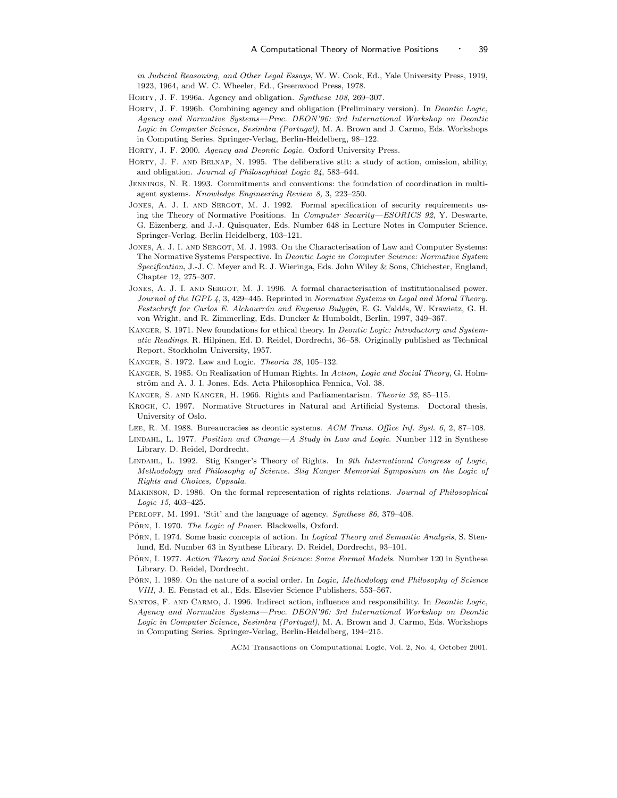in Judicial Reasoning, and Other Legal Essays, W. W. Cook, Ed., Yale University Press, 1919, 1923, 1964, and W. C. Wheeler, Ed., Greenwood Press, 1978.

- HORTY, J. F. 1996a. Agency and obligation. Synthese 108, 269-307.
- Horty, J. F. 1996b. Combining agency and obligation (Preliminary version). In Deontic Logic, Agency and Normative Systems—Proc. DEON'96: 3rd International Workshop on Deontic Logic in Computer Science, Sesimbra (Portugal), M. A. Brown and J. Carmo, Eds. Workshops in Computing Series. Springer-Verlag, Berlin-Heidelberg, 98–122.

HORTY, J. F. 2000. Agency and Deontic Logic. Oxford University Press.

- Horty, J. F. and Belnap, N. 1995. The deliberative stit: a study of action, omission, ability, and obligation. Journal of Philosophical Logic 24, 583–644.
- Jennings, N. R. 1993. Commitments and conventions: the foundation of coordination in multiagent systems. Knowledge Engineering Review 8, 3, 223–250.
- JONES, A. J. I. AND SERGOT, M. J. 1992. Formal specification of security requirements using the Theory of Normative Positions. In Computer Security—ESORICS 92, Y. Deswarte, G. Eizenberg, and J.-J. Quisquater, Eds. Number 648 in Lecture Notes in Computer Science. Springer-Verlag, Berlin Heidelberg, 103–121.
- JONES, A. J. I. AND SERGOT, M. J. 1993. On the Characterisation of Law and Computer Systems: The Normative Systems Perspective. In Deontic Logic in Computer Science: Normative System Specification, J.-J. C. Meyer and R. J. Wieringa, Eds. John Wiley & Sons, Chichester, England, Chapter 12, 275–307.
- Jones, A. J. I. and Sergot, M. J. 1996. A formal characterisation of institutionalised power. Journal of the IGPL 4, 3, 429–445. Reprinted in Normative Systems in Legal and Moral Theory. Festschrift for Carlos E. Alchourrón and Eugenio Bulygin, E. G. Valdés, W. Krawietz, G. H. von Wright, and R. Zimmerling, Eds. Duncker & Humboldt, Berlin, 1997, 349–367.
- KANGER, S. 1971. New foundations for ethical theory. In *Deontic Logic: Introductory and System*atic Readings, R. Hilpinen, Ed. D. Reidel, Dordrecht, 36–58. Originally published as Technical Report, Stockholm University, 1957.
- Kanger, S. 1972. Law and Logic. Theoria 38, 105–132.
- Kanger, S. 1985. On Realization of Human Rights. In Action, Logic and Social Theory, G. Holmström and A. J. I. Jones, Eds. Acta Philosophica Fennica, Vol. 38.
- Kanger, S. and Kanger, H. 1966. Rights and Parliamentarism. Theoria 32, 85–115.
- Krogh, C. 1997. Normative Structures in Natural and Artificial Systems. Doctoral thesis, University of Oslo.
- LEE, R. M. 1988. Bureaucracies as deontic systems. ACM Trans. Office Inf. Syst. 6, 2, 87-108.
- LINDAHL, L. 1977. Position and Change—A Study in Law and Logic. Number 112 in Synthese Library. D. Reidel, Dordrecht.
- Lindahl, L. 1992. Stig Kanger's Theory of Rights. In 9th International Congress of Logic, Methodology and Philosophy of Science. Stig Kanger Memorial Symposium on the Logic of Rights and Choices, Uppsala.
- Makinson, D. 1986. On the formal representation of rights relations. Journal of Philosophical Logic 15, 403–425.
- PERLOFF, M. 1991. 'Stit' and the language of agency. Synthese 86, 379-408.
- PÖRN, I. 1970. The Logic of Power. Blackwells, Oxford.
- PÖRN, I. 1974. Some basic concepts of action. In Logical Theory and Semantic Analysis, S. Stenlund, Ed. Number 63 in Synthese Library. D. Reidel, Dordrecht, 93–101.
- PÖRN, I. 1977. Action Theory and Social Science: Some Formal Models. Number 120 in Synthese Library. D. Reidel, Dordrecht.
- PORN, I. 1989. On the nature of a social order. In Logic, Methodology and Philosophy of Science VIII, J. E. Fenstad et al., Eds. Elsevier Science Publishers, 553–567.
- SANTOS, F. AND CARMO, J. 1996. Indirect action, influence and responsibility. In *Deontic Logic*, Agency and Normative Systems—Proc. DEON'96: 3rd International Workshop on Deontic Logic in Computer Science, Sesimbra (Portugal), M. A. Brown and J. Carmo, Eds. Workshops in Computing Series. Springer-Verlag, Berlin-Heidelberg, 194–215.